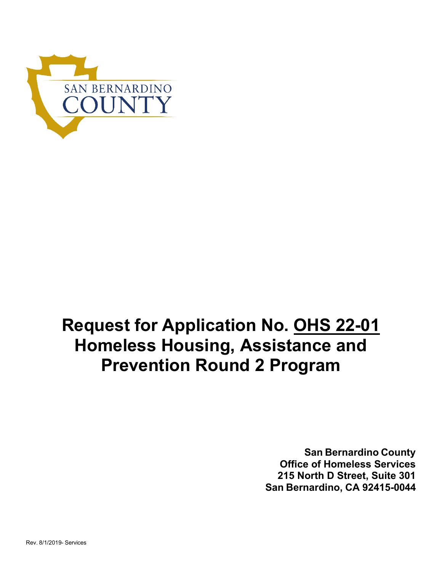

# **Request for Application No. OHS 22-01 Homeless Housing, Assistance and Prevention Round 2 Program**

**San Bernardino County Office of Homeless Services 215 North D Street, Suite 301 San Bernardino, CA 92415-0044**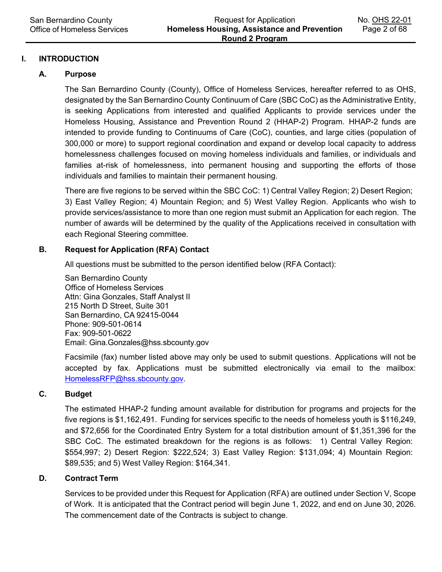## **I. INTRODUCTION**

#### **A. Purpose**

The San Bernardino County (County), Office of Homeless Services, hereafter referred to as OHS, designated by the San Bernardino County Continuum of Care (SBC CoC) as the Administrative Entity, is seeking Applications from interested and qualified Applicants to provide services under the Homeless Housing, Assistance and Prevention Round 2 (HHAP-2) Program. HHAP-2 funds are intended to provide funding to Continuums of Care (CoC), counties, and large cities (population of 300,000 or more) to support regional coordination and expand or develop local capacity to address homelessness challenges focused on moving homeless individuals and families, or individuals and families at-risk of homelessness, into permanent housing and supporting the efforts of those individuals and families to maintain their permanent housing.

There are five regions to be served within the SBC CoC: 1) Central Valley Region; 2) Desert Region; 3) East Valley Region; 4) Mountain Region; and 5) West Valley Region. Applicants who wish to provide services/assistance to more than one region must submit an Application for each region. The number of awards will be determined by the quality of the Applications received in consultation with each Regional Steering committee.

#### **B. Request for Application (RFA) Contact**

All questions must be submitted to the person identified below (RFA Contact):

San Bernardino County Office of Homeless Services Attn: Gina Gonzales, Staff Analyst II 215 North D Street, Suite 301 San Bernardino, CA 92415-0044 Phone: 909-501-0614 Fax: 909-501-0622 Email: [Gina.Gonzales@hss.sbcounty.gov](mailto:Gina.Gonzales@hss.sbcounty.gov)

Facsimile (fax) number listed above may only be used to submit questions. Applications will not be accepted by fax. Applications must be submitted electronically via email to the mailbox: [HomelessRFP@hss.sbcounty.gov.](mailto:HomelessRFP@hss.sbcounty.gov)

# **C. Budget**

The estimated HHAP-2 funding amount available for distribution for programs and projects for the five regions is \$1,162,491. Funding for services specific to the needs of homeless youth is \$116,249, and \$72,656 for the Coordinated Entry System for a total distribution amount of \$1,351,396 for the SBC CoC. The estimated breakdown for the regions is as follows: 1) Central Valley Region: \$554,997; 2) Desert Region: \$222,524; 3) East Valley Region: \$131,094; 4) Mountain Region: \$89,535; and 5) West Valley Region: \$164,341.

#### **D. Contract Term**

Services to be provided under this Request for Application (RFA) are outlined under Section V, Scope of Work. It is anticipated that the Contract period will begin June 1, 2022, and end on June 30, 2026. The commencement date of the Contracts is subject to change.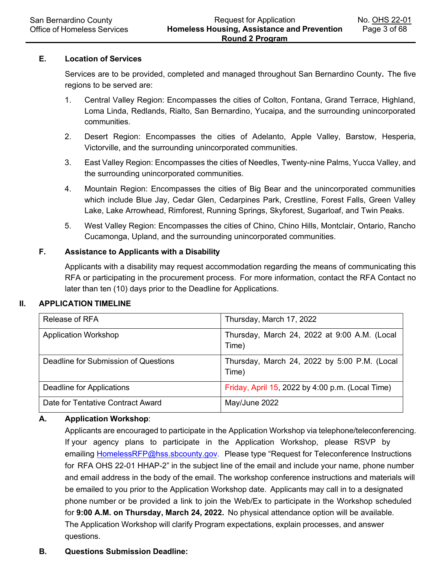#### **E. Location of Services**

Services are to be provided, completed and managed throughout San Bernardino County**.** The five regions to be served are:

- 1. Central Valley Region: Encompasses the cities of Colton, Fontana, Grand Terrace, Highland, Loma Linda, Redlands, Rialto, San Bernardino, Yucaipa, and the surrounding unincorporated communities.
- 2. Desert Region: Encompasses the cities of Adelanto, Apple Valley, Barstow, Hesperia, Victorville, and the surrounding unincorporated communities.
- 3. East Valley Region: Encompasses the cities of Needles, Twenty-nine Palms, Yucca Valley, and the surrounding unincorporated communities.
- 4. Mountain Region: Encompasses the cities of Big Bear and the unincorporated communities which include Blue Jay, Cedar Glen, Cedarpines Park, Crestline, Forest Falls, Green Valley Lake, Lake Arrowhead, Rimforest, Running Springs, Skyforest, Sugarloaf, and Twin Peaks.
- 5. West Valley Region: Encompasses the cities of Chino, Chino Hills, Montclair, Ontario, Rancho Cucamonga, Upland, and the surrounding unincorporated communities.

## **F. Assistance to Applicants with a Disability**

Applicants with a disability may request accommodation regarding the means of communicating this RFA or participating in the procurement process. For more information, contact the RFA Contact no later than ten (10) days prior to the Deadline for Applications.

## **II. APPLICATION TIMELINE**

| Release of RFA                       | Thursday, March 17, 2022                              |
|--------------------------------------|-------------------------------------------------------|
| <b>Application Workshop</b>          | Thursday, March 24, 2022 at 9:00 A.M. (Local<br>Time) |
| Deadline for Submission of Questions | Thursday, March 24, 2022 by 5:00 P.M. (Local<br>Time) |
| Deadline for Applications            | Friday, April 15, 2022 by 4:00 p.m. (Local Time)      |
| Date for Tentative Contract Award    | May/June 2022                                         |

# **A. Application Workshop**:

Applicants are encouraged to participate in the Application Workshop via telephone/teleconferencing. If your agency plans to participate in the Application Workshop, please RSVP by [emailing HomelessRFP@hss.sbcounty.gov.](mailto:HomelessRFP@hss.sbcounty.gov) Please type "Request for Teleconference Instructions for RFA OHS 22-01 HHAP-2" in the subject line of the email and include your name, phone number and email address in the body of the email. The workshop conference instructions and materials will be emailed to you prior to the Application Workshop date. Applicants may call in to a designated phone number or be provided a link to join the Web/Ex to participate in the Workshop scheduled for **9:00 A.M. on Thursday, March 24, 2022.** No physical attendance option will be available. The Application Workshop will clarify Program expectations, explain processes, and answer questions.

#### **B. Questions Submission Deadline:**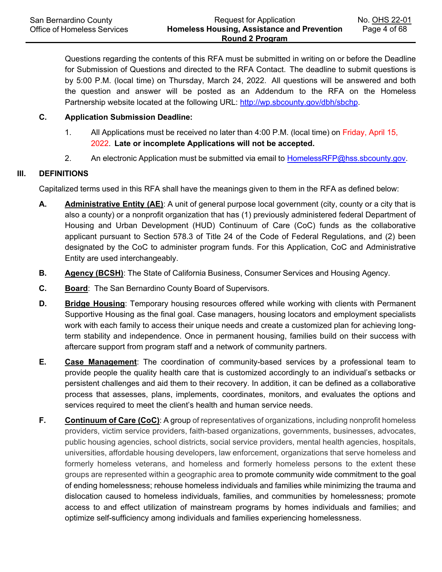Questions regarding the contents of this RFA must be submitted in writing on or before the Deadline for Submission of Questions and directed to the RFA Contact. The deadline to submit questions is by 5:00 P.M. (local time) on Thursday, March 24, 2022. All questions will be answered and both the question and answer will be posted as an Addendum to the RFA on the Homeless Partnership website located at the following [URL: http://wp.sbcounty.gov/dbh/sbchp.](http://wp.sbcounty.gov/dbh/sbchp)

# **C. Application Submission Deadline:**

- 1. All Applications must be received no later than 4:00 P.M. (local time) on Friday, April 15, 2022. **Late or incomplete Applications will not be accepted.**
- 2. An electronic Application must be submitted via email to **[HomelessRFP@hss.sbcounty.gov.](mailto:HomelessRFP@hss.sbcounty.gov)**

# **III. DEFINITIONS**

Capitalized terms used in this RFA shall have the meanings given to them in the RFA as defined below:

- **A. Administrative Entity (AE)**: A unit of general purpose local government (city, county or a city that is also a county) or a nonprofit organization that has (1) previously administered federal Department of Housing and Urban Development (HUD) Continuum of Care (CoC) funds as the collaborative applicant pursuant to Section 578.3 of Title 24 of the Code of Federal Regulations, and (2) been designated by the CoC to administer program funds. For this Application, CoC and Administrative Entity are used interchangeably.
- **B. Agency (BCSH)**: The State of California Business, Consumer Services and Housing Agency.
- **C. Board**: The San Bernardino County Board of Supervisors.
- **D. Bridge Housing**: Temporary housing resources offered while working with clients with Permanent Supportive Housing as the final goal. Case managers, housing locators and employment specialists work with each family to access their unique needs and create a customized plan for achieving longterm stability and independence. Once in permanent housing, families build on their success with aftercare support from program staff and a network of community partners.
- **E. Case Management**: The coordination of community-based services by a professional team to provide people the quality health care that is customized accordingly to an individual's setbacks or persistent challenges and aid them to their recovery. In addition, it can be defined as a collaborative process that assesses, plans, implements, coordinates, monitors, and evaluates the options and services required to meet the client's health and human service needs.
- **F. Continuum of Care (CoC)**: A group of representatives of organizations, including nonprofit homeless providers, victim service providers, faith-based organizations, governments, businesses, advocates, public housing agencies, school districts, social service providers, mental health agencies, hospitals, universities, affordable housing developers, law enforcement, organizations that serve homeless and formerly homeless veterans, and homeless and formerly homeless persons to the extent these groups are represented within a geographic area to promote community wide commitment to the goal of ending homelessness; rehouse homeless individuals and families while minimizing the trauma and dislocation caused to homeless individuals, families, and communities by homelessness; promote access to and effect utilization of mainstream programs by homes individuals and families; and optimize self-sufficiency among individuals and families experiencing homelessness.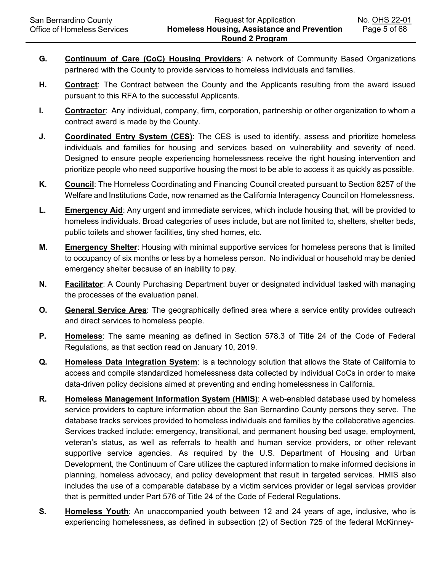- **G. Continuum of Care (CoC) Housing Providers**: A network of Community Based Organizations partnered with the County to provide services to homeless individuals and families.
- **H. Contract**: The Contract between the County and the Applicants resulting from the award issued pursuant to this RFA to the successful Applicants.
- **I. Contractor**: Any individual, company, firm, corporation, partnership or other organization to whom a contract award is made by the County.
- **J. Coordinated Entry System (CES)**: The CES is used to identify, assess and prioritize homeless individuals and families for housing and services based on vulnerability and severity of need. Designed to ensure people experiencing homelessness receive the right housing intervention and prioritize people who need supportive housing the most to be able to access it as quickly as possible.
- **K. Council**: The Homeless Coordinating and Financing Council created pursuant to Section 8257 of the Welfare and Institutions Code, now renamed as the California Interagency Council on Homelessness.
- **L. Emergency Aid**: Any urgent and immediate services, which include housing that, will be provided to homeless individuals. Broad categories of uses include, but are not limited to, shelters, shelter beds, public toilets and shower facilities, tiny shed homes, etc.
- **M. Emergency Shelter**: Housing with minimal supportive services for homeless persons that is limited to occupancy of six months or less by a homeless person. No individual or household may be denied emergency shelter because of an inability to pay.
- **N. Facilitator**: A County Purchasing Department buyer or designated individual tasked with managing the processes of the evaluation panel.
- **O.** General Service Area: The geographically defined area where a service entity provides outreach and direct services to homeless people.
- **P. Homeless**: The same meaning as defined in Section 578.3 of Title 24 of the Code of Federal Regulations, as that section read on January 10, 2019.
- **Q. Homeless Data Integration System**: is a technology solution that allows the State of California to access and compile standardized homelessness data collected by individual CoCs in order to make data-driven policy decisions aimed at preventing and ending homelessness in California.
- **R. Homeless Management Information System (HMIS)**: A web-enabled database used by homeless service providers to capture information about the San Bernardino County persons they serve. The database tracks services provided to homeless individuals and families by the collaborative agencies. Services tracked include: emergency, transitional, and permanent housing bed usage, employment, veteran's status, as well as referrals to health and human service providers, or other relevant supportive service agencies. As required by the U.S. Department of Housing and Urban Development, the Continuum of Care utilizes the captured information to make informed decisions in planning, homeless advocacy, and policy development that result in targeted services. HMIS also includes the use of a comparable database by a victim services provider or legal services provider that is permitted under Part 576 of Title 24 of the Code of Federal Regulations.
- **S. Homeless Youth**: An unaccompanied youth between 12 and 24 years of age, inclusive, who is experiencing homelessness, as defined in subsection (2) of Section 725 of the federal McKinney-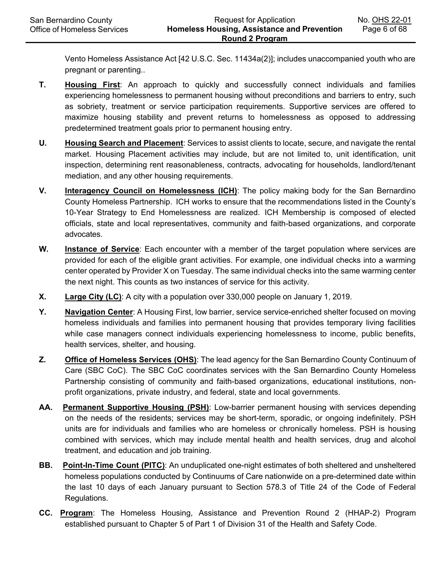Vento Homeless Assistance Act [42 U.S.C. Sec. 11434a(2)]; includes unaccompanied youth who are pregnant or parenting..

- **T. Housing First**: An approach to quickly and successfully connect individuals and families experiencing homelessness to permanent housing without preconditions and barriers to entry, such as sobriety, treatment or service participation requirements. Supportive services are offered to maximize housing stability and prevent returns to homelessness as opposed to addressing predetermined treatment goals prior to permanent housing entry.
- **U. Housing Search and Placement**: Services to assist clients to locate, secure, and navigate the rental market. Housing Placement activities may include, but are not limited to, unit identification, unit inspection, determining rent reasonableness, contracts, advocating for households, landlord/tenant mediation, and any other housing requirements.
- **V. Interagency Council on Homelessness (ICH)**: The policy making body for the San Bernardino County Homeless Partnership. ICH works to ensure that the recommendations listed in the County's 10-Year Strategy to End Homelessness are realized. ICH Membership is composed of elected officials, state and local representatives, community and faith-based organizations, and corporate advocates.
- **W. Instance of Service**: Each encounter with a member of the target population where services are provided for each of the eligible grant activities. For example, one individual checks into a warming center operated by Provider X on Tuesday. The same individual checks into the same warming center the next night. This counts as two instances of service for this activity.
- **X. Large City (LC)**: A city with a population over 330,000 people on January 1, 2019.
- **Y. Navigation Center**: A Housing First, low barrier, service service-enriched shelter focused on moving homeless individuals and families into permanent housing that provides temporary living facilities while case managers connect individuals experiencing homelessness to income, public benefits, health services, shelter, and housing.
- **Z. Office of Homeless Services (OHS)**: The lead agency for the San Bernardino County Continuum of Care (SBC CoC). The SBC CoC coordinates services with the San Bernardino County Homeless Partnership consisting of community and faith-based organizations, educational institutions, nonprofit organizations, private industry, and federal, state and local governments.
- **AA. Permanent Supportive Housing (PSH)**: Low-barrier permanent housing with services depending on the needs of the residents; services may be short-term, sporadic, or ongoing indefinitely. PSH units are for individuals and families who are homeless or chronically homeless. PSH is housing combined with services, which may include mental health and health services, drug and alcohol treatment, and education and job training.
- **BB. Point-In-Time Count (PITC)**: An unduplicated one-night estimates of both sheltered and unsheltered homeless populations conducted by Continuums of Care nationwide on a pre-determined date within the last 10 days of each January pursuant to Section 578.3 of Title 24 of the Code of Federal Regulations.
- **CC. Program**: The Homeless Housing, Assistance and Prevention Round 2 (HHAP-2) Program established pursuant to Chapter 5 of Part 1 of Division 31 of the Health and Safety Code.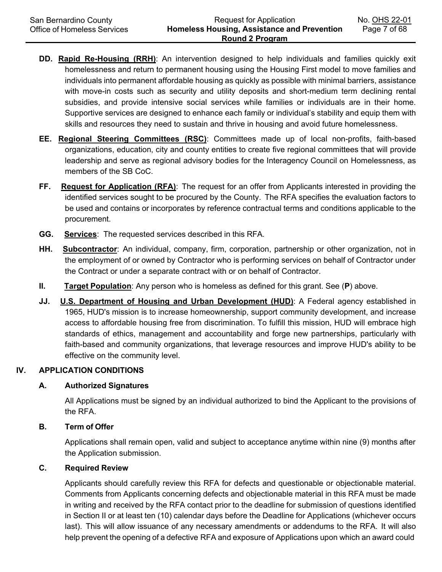- **DD. Rapid Re-Housing (RRH)**: An intervention designed to help individuals and families quickly exit homelessness and return to permanent housing using the Housing First model to move families and individuals into permanent affordable housing as quickly as possible with minimal barriers, assistance with move-in costs such as security and utility deposits and short-medium term declining rental subsidies, and provide intensive social services while families or individuals are in their home. Supportive services are designed to enhance each family or individual's stability and equip them with skills and resources they need to sustain and thrive in housing and avoid future homelessness.
- **EE. Regional Steering Committees (RSC)**: Committees made up of local non-profits, faith-based organizations, education, city and county entities to create five regional committees that will provide leadership and serve as regional advisory bodies for the Interagency Council on Homelessness, as members of the SB CoC.
- **FF. Request for Application (RFA)**: The request for an offer from Applicants interested in providing the identified services sought to be procured by the County. The RFA specifies the evaluation factors to be used and contains or incorporates by reference contractual terms and conditions applicable to the procurement.
- **GG. Services**: The requested services described in this RFA.
- **HH. Subcontractor**: An individual, company, firm, corporation, partnership or other organization, not in the employment of or owned by Contractor who is performing services on behalf of Contractor under the Contract or under a separate contract with or on behalf of Contractor.
- **II. Target Population**: Any person who is homeless as defined for this grant. See (**P**) above.
- **JJ. U.S. Department of Housing and Urban Development (HUD)**: A Federal agency established in 1965, HUD's mission is to increase homeownership, support community development, and increase access to affordable housing free from discrimination. To fulfill this mission, HUD will embrace high standards of ethics, management and accountability and forge new partnerships, particularly with faith-based and community organizations, that leverage resources and improve HUD's ability to be effective on the community level.

## **IV. APPLICATION CONDITIONS**

#### **A. Authorized Signatures**

All Applications must be signed by an individual authorized to bind the Applicant to the provisions of the RFA.

#### **B. Term of Offer**

Applications shall remain open, valid and subject to acceptance anytime within nine (9) months after the Application submission.

#### **C. Required Review**

Applicants should carefully review this RFA for defects and questionable or objectionable material. Comments from Applicants concerning defects and objectionable material in this RFA must be made in writing and received by the RFA contact prior to the deadline for submission of questions identified in Section II or at least ten (10) calendar days before the Deadline for Applications (whichever occurs last). This will allow issuance of any necessary amendments or addendums to the RFA. It will also help prevent the opening of a defective RFA and exposure of Applications upon which an award could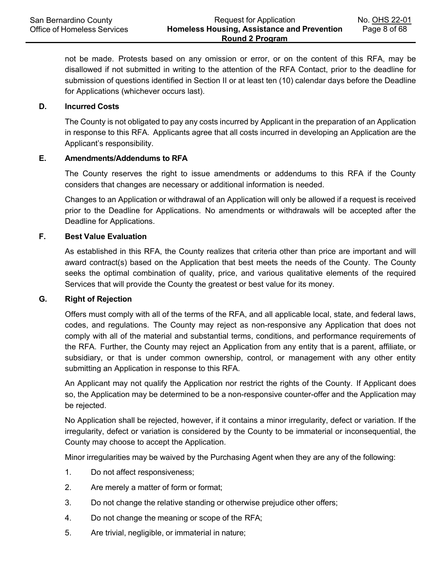not be made. Protests based on any omission or error, or on the content of this RFA, may be disallowed if not submitted in writing to the attention of the RFA Contact, prior to the deadline for submission of questions identified in Section II or at least ten (10) calendar days before the Deadline for Applications (whichever occurs last).

#### **D. Incurred Costs**

The County is not obligated to pay any costs incurred by Applicant in the preparation of an Application in response to this RFA. Applicants agree that all costs incurred in developing an Application are the Applicant's responsibility.

#### **E. Amendments/Addendums to RFA**

The County reserves the right to issue amendments or addendums to this RFA if the County considers that changes are necessary or additional information is needed.

Changes to an Application or withdrawal of an Application will only be allowed if a request is received prior to the Deadline for Applications. No amendments or withdrawals will be accepted after the Deadline for Applications.

#### **F. Best Value Evaluation**

As established in this RFA, the County realizes that criteria other than price are important and will award contract(s) based on the Application that best meets the needs of the County. The County seeks the optimal combination of quality, price, and various qualitative elements of the required Services that will provide the County the greatest or best value for its money.

#### **G. Right of Rejection**

Offers must comply with all of the terms of the RFA, and all applicable local, state, and federal laws, codes, and regulations. The County may reject as non-responsive any Application that does not comply with all of the material and substantial terms, conditions, and performance requirements of the RFA. Further, the County may reject an Application from any entity that is a parent, affiliate, or subsidiary, or that is under common ownership, control, or management with any other entity submitting an Application in response to this RFA.

An Applicant may not qualify the Application nor restrict the rights of the County. If Applicant does so, the Application may be determined to be a non-responsive counter-offer and the Application may be rejected.

No Application shall be rejected, however, if it contains a minor irregularity, defect or variation. If the irregularity, defect or variation is considered by the County to be immaterial or inconsequential, the County may choose to accept the Application.

Minor irregularities may be waived by the Purchasing Agent when they are any of the following:

- 1. Do not affect responsiveness;
- 2. Are merely a matter of form or format;
- 3. Do not change the relative standing or otherwise prejudice other offers;
- 4. Do not change the meaning or scope of the RFA;
- 5. Are trivial, negligible, or immaterial in nature;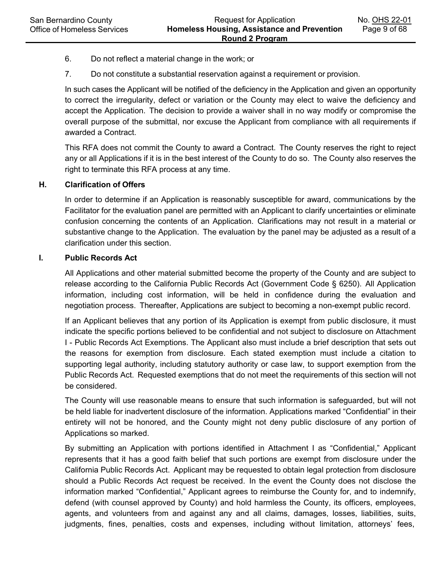- 6. Do not reflect a material change in the work; or
- 7. Do not constitute a substantial reservation against a requirement or provision.

In such cases the Applicant will be notified of the deficiency in the Application and given an opportunity to correct the irregularity, defect or variation or the County may elect to waive the deficiency and accept the Application. The decision to provide a waiver shall in no way modify or compromise the overall purpose of the submittal, nor excuse the Applicant from compliance with all requirements if awarded a Contract.

This RFA does not commit the County to award a Contract. The County reserves the right to reject any or all Applications if it is in the best interest of the County to do so. The County also reserves the right to terminate this RFA process at any time.

## **H. Clarification of Offers**

In order to determine if an Application is reasonably susceptible for award, communications by the Facilitator for the evaluation panel are permitted with an Applicant to clarify uncertainties or eliminate confusion concerning the contents of an Application. Clarifications may not result in a material or substantive change to the Application. The evaluation by the panel may be adjusted as a result of a clarification under this section.

#### **I. Public Records Act**

All Applications and other material submitted become the property of the County and are subject to release according to the California Public Records Act (Government Code § 6250). All Application information, including cost information, will be held in confidence during the evaluation and negotiation process. Thereafter, Applications are subject to becoming a non-exempt public record.

If an Applicant believes that any portion of its Application is exempt from public disclosure, it must indicate the specific portions believed to be confidential and not subject to disclosure on Attachment I - Public Records Act Exemptions. The Applicant also must include a brief description that sets out the reasons for exemption from disclosure. Each stated exemption must include a citation to supporting legal authority, including statutory authority or case law, to support exemption from the Public Records Act. Requested exemptions that do not meet the requirements of this section will not be considered.

The County will use reasonable means to ensure that such information is safeguarded, but will not be held liable for inadvertent disclosure of the information. Applications marked "Confidential" in their entirety will not be honored, and the County might not deny public disclosure of any portion of Applications so marked.

By submitting an Application with portions identified in Attachment I as "Confidential," Applicant represents that it has a good faith belief that such portions are exempt from disclosure under the California Public Records Act. Applicant may be requested to obtain legal protection from disclosure should a Public Records Act request be received. In the event the County does not disclose the information marked "Confidential," Applicant agrees to reimburse the County for, and to indemnify, defend (with counsel approved by County) and hold harmless the County, its officers, employees, agents, and volunteers from and against any and all claims, damages, losses, liabilities, suits, judgments, fines, penalties, costs and expenses, including without limitation, attorneys' fees,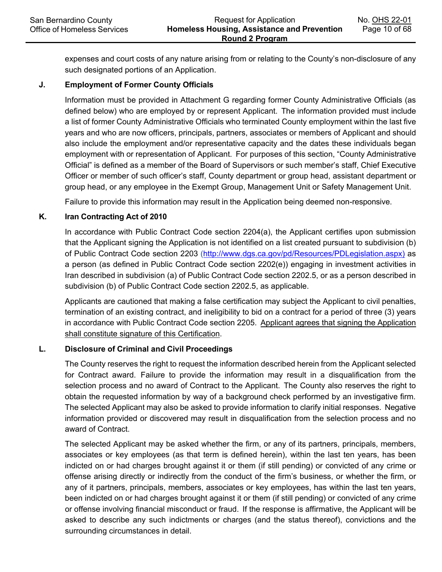expenses and court costs of any nature arising from or relating to the County's non-disclosure of any such designated portions of an Application.

## **J. Employment of Former County Officials**

Information must be provided in Attachment G regarding former County Administrative Officials (as defined below) who are employed by or represent Applicant. The information provided must include a list of former County Administrative Officials who terminated County employment within the last five years and who are now officers, principals, partners, associates or members of Applicant and should also include the employment and/or representative capacity and the dates these individuals began employment with or representation of Applicant. For purposes of this section, "County Administrative Official" is defined as a member of the Board of Supervisors or such member's staff, Chief Executive Officer or member of such officer's staff, County department or group head, assistant department or group head, or any employee in the Exempt Group, Management Unit or Safety Management Unit.

Failure to provide this information may result in the Application being deemed non-responsive.

# **K. Iran Contracting Act of 2010**

In accordance with Public Contract Code section 2204(a), the Applicant certifies upon submission that the Applicant signing the Application is not identified on a list created pursuant to subdivision (b) of Public Contract Code section 2203 [\(http://www.dgs.ca.gov/pd/Resources/PDLegislation.aspx\)](http://www.dgs.ca.gov/pd/Resources/PDLegislation.aspx) as a person (as defined in Public Contract Code section 2202(e)) engaging in investment activities in Iran described in subdivision (a) of Public Contract Code section 2202.5, or as a person described in subdivision (b) of Public Contract Code section 2202.5, as applicable.

Applicants are cautioned that making a false certification may subject the Applicant to civil penalties, termination of an existing contract, and ineligibility to bid on a contract for a period of three (3) years in accordance with Public Contract Code section 2205. Applicant agrees that signing the Application shall constitute signature of this Certification.

## **L. Disclosure of Criminal and Civil Proceedings**

The County reserves the right to request the information described herein from the Applicant selected for Contract award. Failure to provide the information may result in a disqualification from the selection process and no award of Contract to the Applicant. The County also reserves the right to obtain the requested information by way of a background check performed by an investigative firm. The selected Applicant may also be asked to provide information to clarify initial responses. Negative information provided or discovered may result in disqualification from the selection process and no award of Contract.

The selected Applicant may be asked whether the firm, or any of its partners, principals, members, associates or key employees (as that term is defined herein), within the last ten years, has been indicted on or had charges brought against it or them (if still pending) or convicted of any crime or offense arising directly or indirectly from the conduct of the firm's business, or whether the firm, or any of it partners, principals, members, associates or key employees, has within the last ten years, been indicted on or had charges brought against it or them (if still pending) or convicted of any crime or offense involving financial misconduct or fraud. If the response is affirmative, the Applicant will be asked to describe any such indictments or charges (and the status thereof), convictions and the surrounding circumstances in detail.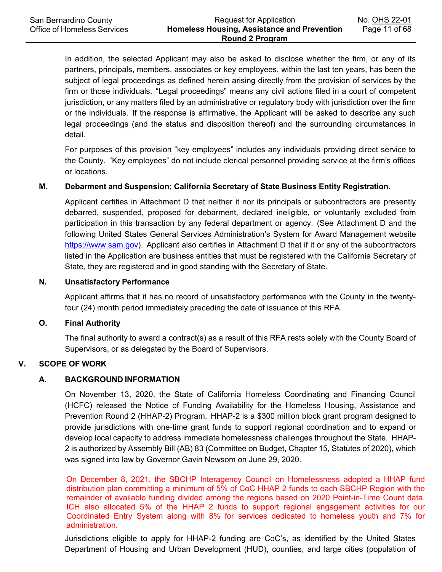In addition, the selected Applicant may also be asked to disclose whether the firm, or any of its partners, principals, members, associates or key employees, within the last ten years, has been the subject of legal proceedings as defined herein arising directly from the provision of services by the firm or those individuals. "Legal proceedings" means any civil actions filed in a court of competent jurisdiction, or any matters filed by an administrative or regulatory body with jurisdiction over the firm or the individuals. If the response is affirmative, the Applicant will be asked to describe any such legal proceedings (and the status and disposition thereof) and the surrounding circumstances in detail.

For purposes of this provision "key employees" includes any individuals providing direct service to the County. "Key employees" do not include clerical personnel providing service at the firm's offices or locations.

#### **M. Debarment and Suspension; California Secretary of State Business Entity Registration.**

Applicant certifies in Attachment D that neither it nor its principals or subcontractors are presently debarred, suspended, proposed for debarment, declared ineligible, or voluntarily excluded from participation in this transaction by any federal department or agency. (See Attachment D and the following United States General Services Administration's System for Award Management website [https://www.sam.gov\)](https://www.sam.gov/). Applicant also certifies in Attachment D that if it or any of the subcontractors listed in the Application are business entities that must be registered with the California Secretary of State, they are registered and in good standing with the Secretary of State.

#### **N. Unsatisfactory Performance**

Applicant affirms that it has no record of unsatisfactory performance with the County in the twentyfour (24) month period immediately preceding the date of issuance of this RFA.

#### **O. Final Authority**

The final authority to award a contract(s) as a result of this RFA rests solely with the County Board of Supervisors, or as delegated by the Board of Supervisors.

#### **V. SCOPE OF WORK**

#### **A. BACKGROUND INFORMATION**

On November 13, 2020, the State of California Homeless Coordinating and Financing Council (HCFC) released the Notice of Funding Availability for the Homeless Housing, Assistance and Prevention Round 2 (HHAP-2) Program. HHAP-2 is a \$300 million block grant program designed to provide jurisdictions with one-time grant funds to support regional coordination and to expand or develop local capacity to address immediate homelessness challenges throughout the State. HHAP-2 is authorized by Assembly Bill (AB) 83 (Committee on Budget, Chapter 15, Statutes of 2020), which was signed into law by Governor Gavin Newsom on June 29, 2020.

On December 8, 2021, the SBCHP Interagency Council on Homelessness adopted a HHAP fund distribution plan committing a minimum of 5% of CoC HHAP 2 funds to each SBCHP Region with the remainder of available funding divided among the regions based on 2020 Point-in-Time Count data. ICH also allocated 5% of the HHAP 2 funds to support regional engagement activities for our Coordinated Entry System along with 8% for services dedicated to homeless youth and 7% for administration.

Jurisdictions eligible to apply for HHAP-2 funding are CoC's, as identified by the United States Department of Housing and Urban Development (HUD), counties, and large cities (population of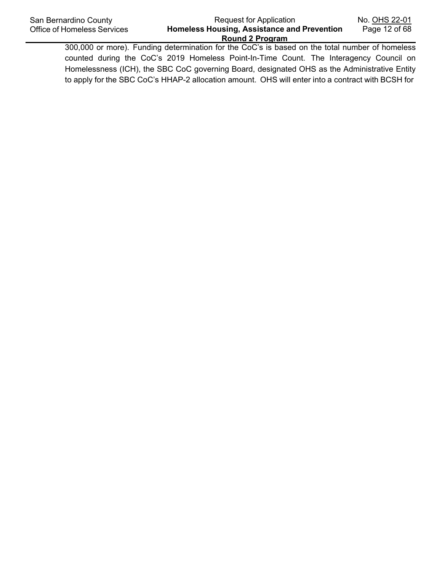300,000 or more). Funding determination for the CoC's is based on the total number of homeless counted during the CoC's 2019 Homeless Point-In-Time Count. The Interagency Council on Homelessness (ICH), the SBC CoC governing Board, designated OHS as the Administrative Entity to apply for the SBC CoC's HHAP-2 allocation amount. OHS will enter into a contract with BCSH for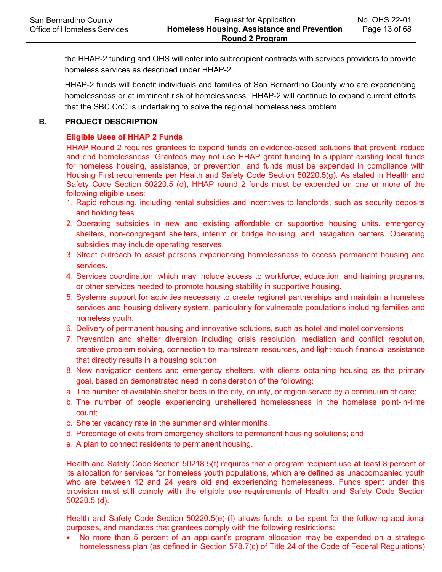the HHAP-2 funding and OHS will enter into subrecipient contracts with services providers to provide homeless services as described under HHAP-2.

HHAP-2 funds will benefit individuals and families of San Bernardino County who are experiencing homelessness or at imminent risk of homelessness. HHAP-2 will continue to expand current efforts that the SBC CoC is undertaking to solve the regional homelessness problem.

#### **B. PROJECT DESCRIPTION**

## **Eligible Uses of HHAP 2 Funds**

HHAP Round 2 requires grantees to expend funds on evidence-based solutions that prevent, reduce and end homelessness. Grantees may not use HHAP grant funding to supplant existing local funds for homeless housing, assistance, or prevention, and funds must be expended in compliance with Housing First requirements per Health and Safety Code Section 50220.5(g). As stated in Health and Safety Code Section 50220.5 (d), HHAP round 2 funds must be expended on one or more of the following eligible uses:

- 1. Rapid rehousing, including rental subsidies and incentives to landlords, such as security deposits and holding fees.
- 2. Operating subsidies in new and existing affordable or supportive housing units, emergency shelters, non-congregant shelters, interim or bridge housing, and navigation centers. Operating subsidies may include operating reserves.
- 3. Street outreach to assist persons experiencing homelessness to access permanent housing and services.
- 4. Services coordination, which may include access to workforce, education, and training programs, or other services needed to promote housing stability in supportive housing.
- 5. Systems support for activities necessary to create regional partnerships and maintain a homeless services and housing delivery system, particularly for vulnerable populations including families and homeless youth.
- 6. Delivery of permanent housing and innovative solutions, such as hotel and motel conversions
- 7. Prevention and shelter diversion including crisis resolution, mediation and conflict resolution, creative problem solving, connection to mainstream resources, and light-touch financial assistance that directly results in a housing solution.
- 8. New navigation centers and emergency shelters, with clients obtaining housing as the primary goal, based on demonstrated need in consideration of the following:
- a. The number of available shelter beds in the city, county, or region served by a continuum of care;
- b. The number of people experiencing unsheltered homelessness in the homeless point-in-time count;
- c. Shelter vacancy rate in the summer and winter months;
- d. Percentage of exits from emergency shelters to permanent housing solutions; and
- e. A plan to connect residents to permanent housing.

Health and Safety Code Section 50218.5(f) requires that a program recipient use **at** least 8 percent of its allocation for services for homeless youth populations, which are defined as unaccompanied youth who are between 12 and 24 years old and experiencing homelessness. Funds spent under this provision must still comply with the eligible use requirements of Health and Safety Code Section 50220.5 (d).

Health and Safety Code Section 50220.5(e)-(f) allows funds to be spent for the following additional purposes, and mandates that grantees comply with the following restrictions:

• No more than 5 percent of an applicant's program allocation may be expended on a strategic homelessness plan (as defined in Section 578.7(c) of Title 24 of the Code of Federal Regulations)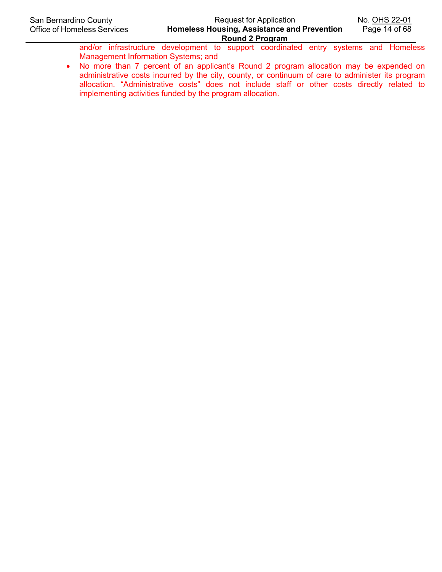and/or infrastructure development to support coordinated entry systems and Homeless Management Information Systems; and

• No more than 7 percent of an applicant's Round 2 program allocation may be expended on administrative costs incurred by the city, county, or continuum of care to administer its program allocation. "Administrative costs" does not include staff or other costs directly related to implementing activities funded by the program allocation.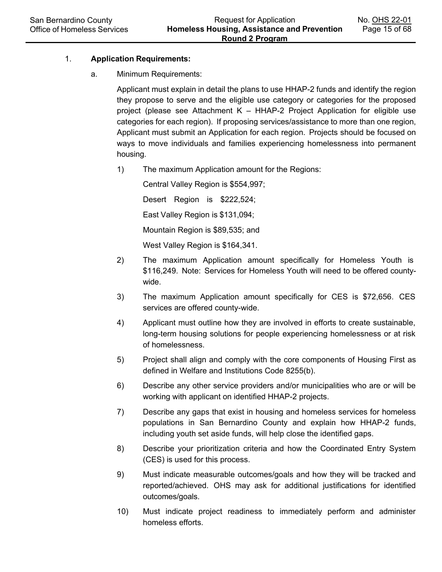# 1. **Application Requirements:**

#### a. Minimum Requirements:

Applicant must explain in detail the plans to use HHAP-2 funds and identify the region they propose to serve and the eligible use category or categories for the proposed project (please see Attachment K – HHAP-2 Project Application for eligible use categories for each region). If proposing services/assistance to more than one region, Applicant must submit an Application for each region. Projects should be focused on ways to move individuals and families experiencing homelessness into permanent housing.

1) The maximum Application amount for the Regions:

Central Valley Region is \$554,997; Desert Region is \$222,524; East Valley Region is \$131,094; Mountain Region is \$89,535; and

West Valley Region is \$164,341.

- 2) The maximum Application amount specifically for Homeless Youth is \$116,249. Note: Services for Homeless Youth will need to be offered countywide.
- 3) The maximum Application amount specifically for CES is \$72,656. CES services are offered county-wide.
- 4) Applicant must outline how they are involved in efforts to create sustainable, long-term housing solutions for people experiencing homelessness or at risk of homelessness.
- 5) Project shall align and comply with the core components of Housing First as defined in Welfare and Institutions Code 8255(b).
- 6) Describe any other service providers and/or municipalities who are or will be working with applicant on identified HHAP-2 projects.
- 7) Describe any gaps that exist in housing and homeless services for homeless populations in San Bernardino County and explain how HHAP-2 funds, including youth set aside funds, will help close the identified gaps.
- 8) Describe your prioritization criteria and how the Coordinated Entry System (CES) is used for this process.
- 9) Must indicate measurable outcomes/goals and how they will be tracked and reported/achieved. OHS may ask for additional justifications for identified outcomes/goals.
- 10) Must indicate project readiness to immediately perform and administer homeless efforts.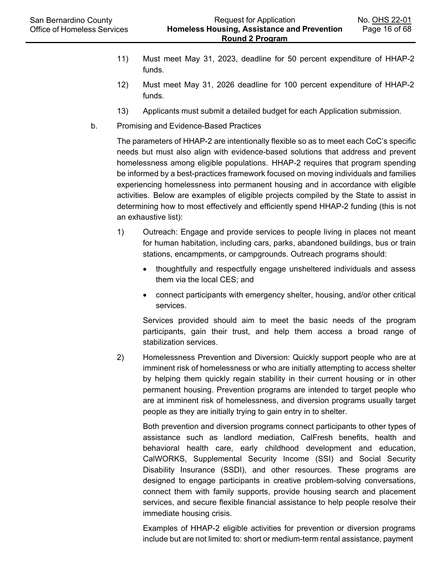- 11) Must meet May 31, 2023, deadline for 50 percent expenditure of HHAP-2 funds.
- 12) Must meet May 31, 2026 deadline for 100 percent expenditure of HHAP-2 funds.
- 13) Applicants must submit a detailed budget for each Application submission.
- b. Promising and Evidence-Based Practices

The parameters of HHAP-2 are intentionally flexible so as to meet each CoC's specific needs but must also align with evidence-based solutions that address and prevent homelessness among eligible populations. HHAP-2 requires that program spending be informed by a best-practices framework focused on moving individuals and families experiencing homelessness into permanent housing and in accordance with eligible activities. Below are examples of eligible projects compiled by the State to assist in determining how to most effectively and efficiently spend HHAP-2 funding (this is not an exhaustive list):

- 1) Outreach: Engage and provide services to people living in places not meant for human habitation, including cars, parks, abandoned buildings, bus or train stations, encampments, or campgrounds. Outreach programs should:
	- thoughtfully and respectfully engage unsheltered individuals and assess them via the local CES; and
	- connect participants with emergency shelter, housing, and/or other critical services.

Services provided should aim to meet the basic needs of the program participants, gain their trust, and help them access a broad range of stabilization services.

2) Homelessness Prevention and Diversion: Quickly support people who are at imminent risk of homelessness or who are initially attempting to access shelter by helping them quickly regain stability in their current housing or in other permanent housing. Prevention programs are intended to target people who are at imminent risk of homelessness, and diversion programs usually target people as they are initially trying to gain entry in to shelter.

Both prevention and diversion programs connect participants to other types of assistance such as landlord mediation, CalFresh benefits, health and behavioral health care, early childhood development and education, CalWORKS, Supplemental Security Income (SSI) and Social Security Disability Insurance (SSDI), and other resources. These programs are designed to engage participants in creative problem-solving conversations, connect them with family supports, provide housing search and placement services, and secure flexible financial assistance to help people resolve their immediate housing crisis.

Examples of HHAP-2 eligible activities for prevention or diversion programs include but are not limited to: short or medium-term rental assistance, payment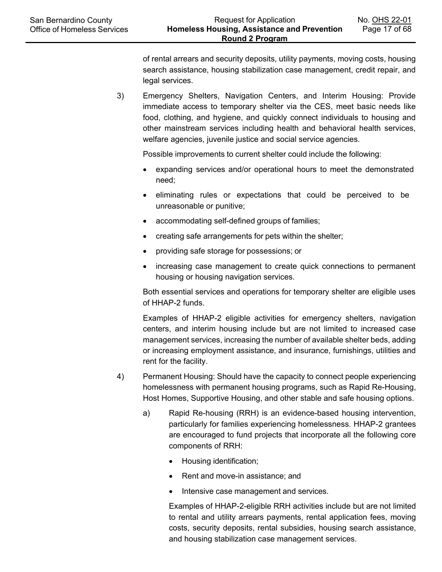of rental arrears and security deposits, utility payments, moving costs, housing search assistance, housing stabilization case management, credit repair, and legal services.

3) Emergency Shelters, Navigation Centers, and Interim Housing: Provide immediate access to temporary shelter via the CES, meet basic needs like food, clothing, and hygiene, and quickly connect individuals to housing and other mainstream services including health and behavioral health services, welfare agencies, juvenile justice and social service agencies.

Possible improvements to current shelter could include the following:

- expanding services and/or operational hours to meet the demonstrated need;
- eliminating rules or expectations that could be perceived to be unreasonable or punitive;
- accommodating self-defined groups of families;
- creating safe arrangements for pets within the shelter;
- providing safe storage for possessions; or
- increasing case management to create quick connections to permanent housing or housing navigation services.

Both essential services and operations for temporary shelter are eligible uses of HHAP-2 funds.

Examples of HHAP-2 eligible activities for emergency shelters, navigation centers, and interim housing include but are not limited to increased case management services, increasing the number of available shelter beds, adding or increasing employment assistance, and insurance, furnishings, utilities and rent for the facility.

- 4) Permanent Housing: Should have the capacity to connect people experiencing homelessness with permanent housing programs, such as Rapid Re-Housing, Host Homes, Supportive Housing, and other stable and safe housing options.
	- a) Rapid Re-housing (RRH) is an evidence-based housing intervention, particularly for families experiencing homelessness. HHAP-2 grantees are encouraged to fund projects that incorporate all the following core components of RRH:
		- Housing identification;
		- Rent and move-in assistance; and
		- Intensive case management and services.

Examples of HHAP-2-eligible RRH activities include but are not limited to rental and utility arrears payments, rental application fees, moving costs, security deposits, rental subsidies, housing search assistance, and housing stabilization case management services.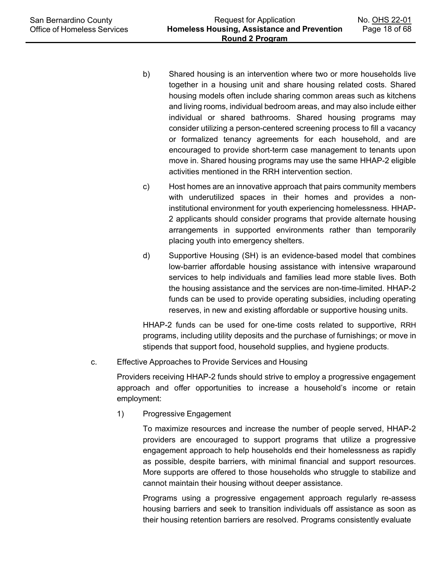- b) Shared housing is an intervention where two or more households live together in a housing unit and share housing related costs. Shared housing models often include sharing common areas such as kitchens and living rooms, individual bedroom areas, and may also include either individual or shared bathrooms. Shared housing programs may consider utilizing a person-centered screening process to fill a vacancy or formalized tenancy agreements for each household, and are encouraged to provide short-term case management to tenants upon move in. Shared housing programs may use the same HHAP-2 eligible activities mentioned in the RRH intervention section.
- c) Host homes are an innovative approach that pairs community members with underutilized spaces in their homes and provides a noninstitutional environment for youth experiencing homelessness. HHAP-2 applicants should consider programs that provide alternate housing arrangements in supported environments rather than temporarily placing youth into emergency shelters.
- d) Supportive Housing (SH) is an evidence-based model that combines low-barrier affordable housing assistance with intensive wraparound services to help individuals and families lead more stable lives. Both the housing assistance and the services are non-time-limited. HHAP-2 funds can be used to provide operating subsidies, including operating reserves, in new and existing affordable or supportive housing units.

HHAP-2 funds can be used for one-time costs related to supportive, RRH programs, including utility deposits and the purchase of furnishings; or move in stipends that support food, household supplies, and hygiene products.

c. Effective Approaches to Provide Services and Housing

Providers receiving HHAP-2 funds should strive to employ a progressive engagement approach and offer opportunities to increase a household's income or retain employment:

1) Progressive Engagement

To maximize resources and increase the number of people served, HHAP-2 providers are encouraged to support programs that utilize a progressive engagement approach to help households end their homelessness as rapidly as possible, despite barriers, with minimal financial and support resources. More supports are offered to those households who struggle to stabilize and cannot maintain their housing without deeper assistance.

Programs using a progressive engagement approach regularly re-assess housing barriers and seek to transition individuals off assistance as soon as their housing retention barriers are resolved. Programs consistently evaluate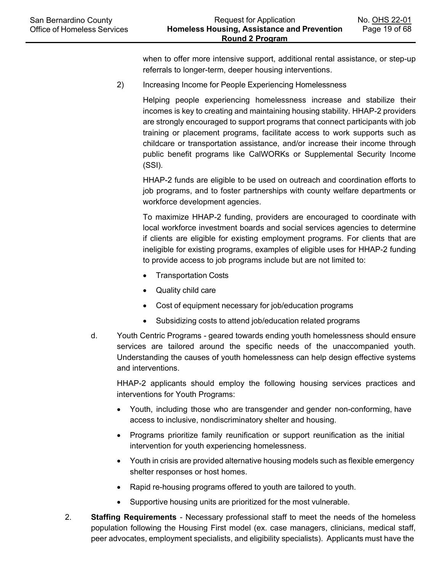when to offer more intensive support, additional rental assistance, or step-up referrals to longer-term, deeper housing interventions.

2) Increasing Income for People Experiencing Homelessness

Helping people experiencing homelessness increase and stabilize their incomes is key to creating and maintaining housing stability. HHAP-2 providers are strongly encouraged to support programs that connect participants with job training or placement programs, facilitate access to work supports such as childcare or transportation assistance, and/or increase their income through public benefit programs like CalWORKs or Supplemental Security Income (SSI).

HHAP-2 funds are eligible to be used on outreach and coordination efforts to job programs, and to foster partnerships with county welfare departments or workforce development agencies.

To maximize HHAP-2 funding, providers are encouraged to coordinate with local workforce investment boards and social services agencies to determine if clients are eligible for existing employment programs. For clients that are ineligible for existing programs, examples of eligible uses for HHAP-2 funding to provide access to job programs include but are not limited to:

- Transportation Costs
- Quality child care
- Cost of equipment necessary for job/education programs
- Subsidizing costs to attend job/education related programs
- d. Youth Centric Programs geared towards ending youth homelessness should ensure services are tailored around the specific needs of the unaccompanied youth. Understanding the causes of youth homelessness can help design effective systems and interventions.

HHAP-2 applicants should employ the following housing services practices and interventions for Youth Programs:

- Youth, including those who are transgender and gender non-conforming, have access to inclusive, nondiscriminatory shelter and housing.
- Programs prioritize family reunification or support reunification as the initial intervention for youth experiencing homelessness.
- Youth in crisis are provided alternative housing models such as flexible emergency shelter responses or host homes.
- Rapid re-housing programs offered to youth are tailored to youth.
- Supportive housing units are prioritized for the most vulnerable.
- 2. **Staffing Requirements**  Necessary professional staff to meet the needs of the homeless population following the Housing First model (ex. case managers, clinicians, medical staff, peer advocates, employment specialists, and eligibility specialists). Applicants must have the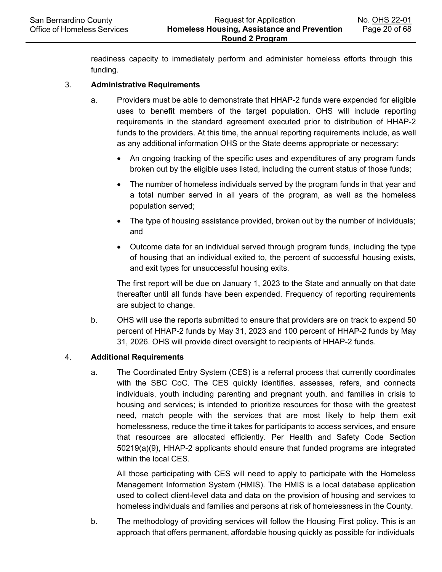readiness capacity to immediately perform and administer homeless efforts through this funding.

#### 3. **Administrative Requirements**

- a. Providers must be able to demonstrate that HHAP-2 funds were expended for eligible uses to benefit members of the target population. OHS will include reporting requirements in the standard agreement executed prior to distribution of HHAP-2 funds to the providers. At this time, the annual reporting requirements include, as well as any additional information OHS or the State deems appropriate or necessary:
	- An ongoing tracking of the specific uses and expenditures of any program funds broken out by the eligible uses listed, including the current status of those funds;
	- The number of homeless individuals served by the program funds in that year and a total number served in all years of the program, as well as the homeless population served;
	- The type of housing assistance provided, broken out by the number of individuals; and
	- Outcome data for an individual served through program funds, including the type of housing that an individual exited to, the percent of successful housing exists, and exit types for unsuccessful housing exits.

The first report will be due on January 1, 2023 to the State and annually on that date thereafter until all funds have been expended. Frequency of reporting requirements are subject to change.

b. OHS will use the reports submitted to ensure that providers are on track to expend 50 percent of HHAP-2 funds by May 31, 2023 and 100 percent of HHAP-2 funds by May 31, 2026. OHS will provide direct oversight to recipients of HHAP-2 funds.

#### 4. **Additional Requirements**

a. The Coordinated Entry System (CES) is a referral process that currently coordinates with the SBC CoC. The CES quickly identifies, assesses, refers, and connects individuals, youth including parenting and pregnant youth, and families in crisis to housing and services; is intended to prioritize resources for those with the greatest need, match people with the services that are most likely to help them exit homelessness, reduce the time it takes for participants to access services, and ensure that resources are allocated efficiently. Per Health and Safety Code Section 50219(a)(9), HHAP-2 applicants should ensure that funded programs are integrated within the local CES.

All those participating with CES will need to apply to participate with the Homeless Management Information System (HMIS). The HMIS is a local database application used to collect client-level data and data on the provision of housing and services to homeless individuals and families and persons at risk of homelessness in the County.

b. The methodology of providing services will follow the Housing First policy. This is an approach that offers permanent, affordable housing quickly as possible for individuals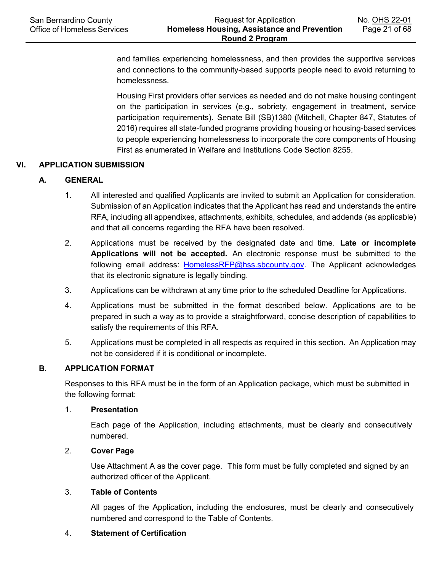and families experiencing homelessness, and then provides the supportive services and connections to the community-based supports people need to avoid returning to homelessness.

Housing First providers offer services as needed and do not make housing contingent on the participation in services (e.g., sobriety, engagement in treatment, service participation requirements). Senate Bill (SB)1380 (Mitchell, Chapter 847, Statutes of 2016) requires all state-funded programs providing housing or housing-based services to people experiencing homelessness to incorporate the core components of Housing First as enumerated in Welfare and Institutions Code Section 8255.

## **VI. APPLICATION SUBMISSION**

#### **A. GENERAL**

- 1. All interested and qualified Applicants are invited to submit an Application for consideration. Submission of an Application indicates that the Applicant has read and understands the entire RFA, including all appendixes, attachments, exhibits, schedules, and addenda (as applicable) and that all concerns regarding the RFA have been resolved.
- 2. Applications must be received by the designated date and time. **Late or incomplete Applications will not be accepted.** An electronic response must be submitted to the following email address: [HomelessRFP@hss.sbcounty.gov.](mailto:HomelessRFP@hss.sbcounty.gov) The Applicant acknowledges that its electronic signature is legally binding.
- 3. Applications can be withdrawn at any time prior to the scheduled Deadline for Applications.
- 4. Applications must be submitted in the format described below. Applications are to be prepared in such a way as to provide a straightforward, concise description of capabilities to satisfy the requirements of this RFA.
- 5. Applications must be completed in all respects as required in this section. An Application may not be considered if it is conditional or incomplete.

#### **B. APPLICATION FORMAT**

Responses to this RFA must be in the form of an Application package, which must be submitted in the following format:

# 1. **Presentation**

Each page of the Application, including attachments, must be clearly and consecutively numbered.

#### 2. **Cover Page**

Use Attachment A as the cover page. This form must be fully completed and signed by an authorized officer of the Applicant.

#### 3. **Table of Contents**

All pages of the Application, including the enclosures, must be clearly and consecutively numbered and correspond to the Table of Contents.

#### 4. **Statement of Certification**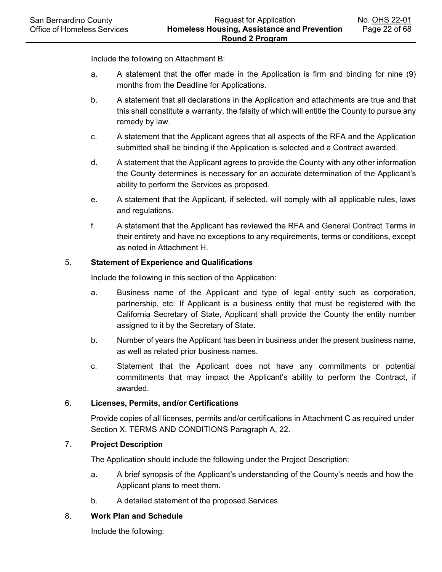Include the following on Attachment B:

- a. A statement that the offer made in the Application is firm and binding for nine (9) months from the Deadline for Applications.
- b. A statement that all declarations in the Application and attachments are true and that this shall constitute a warranty, the falsity of which will entitle the County to pursue any remedy by law.
- c. A statement that the Applicant agrees that all aspects of the RFA and the Application submitted shall be binding if the Application is selected and a Contract awarded.
- d. A statement that the Applicant agrees to provide the County with any other information the County determines is necessary for an accurate determination of the Applicant's ability to perform the Services as proposed.
- e. A statement that the Applicant, if selected, will comply with all applicable rules, laws and regulations.
- f. A statement that the Applicant has reviewed the RFA and General Contract Terms in their entirety and have no exceptions to any requirements, terms or conditions, except as noted in Attachment H.

## 5. **Statement of Experience and Qualifications**

Include the following in this section of the Application:

- a. Business name of the Applicant and type of legal entity such as corporation, partnership, etc. If Applicant is a business entity that must be registered with the California Secretary of State, Applicant shall provide the County the entity number assigned to it by the Secretary of State.
- b. Number of years the Applicant has been in business under the present business name, as well as related prior business names.
- c. Statement that the Applicant does not have any commitments or potential commitments that may impact the Applicant's ability to perform the Contract, if awarded.

## 6. **Licenses, Permits, and/or Certifications**

Provide copies of all licenses, permits and/or certifications in Attachment C as required under Section X. TERMS AND CONDITIONS Paragraph A, 22.

## 7. **Project Description**

The Application should include the following under the Project Description:

- a. A brief synopsis of the Applicant's understanding of the County's needs and how the Applicant plans to meet them.
- b. A detailed statement of the proposed Services.

#### 8. **Work Plan and Schedule**

Include the following: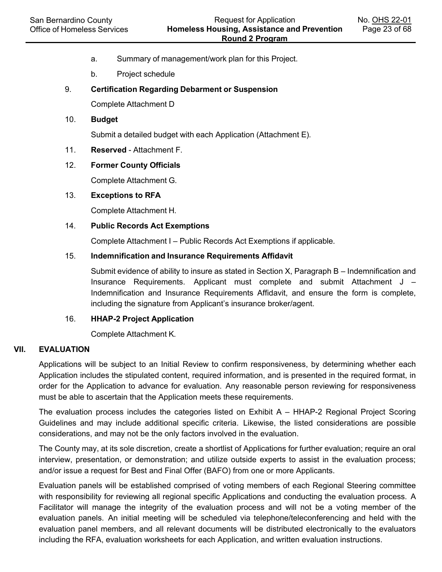- a. Summary of management/work plan for this Project.
- b. Project schedule

## 9. **Certification Regarding Debarment or Suspension**

Complete Attachment D

## 10. **Budget**

Submit a detailed budget with each Application (Attachment E).

11. **Reserved** - Attachment F.

#### 12. **Former County Officials**

Complete Attachment G.

#### 13. **Exceptions to RFA**

Complete Attachment H.

#### 14. **Public Records Act Exemptions**

Complete Attachment I – Public Records Act Exemptions if applicable.

#### 15. **Indemnification and Insurance Requirements Affidavit**

Submit evidence of ability to insure as stated in Section X, Paragraph B – Indemnification and Insurance Requirements. Applicant must complete and submit Attachment J – Indemnification and Insurance Requirements Affidavit, and ensure the form is complete, including the signature from Applicant's insurance broker/agent.

#### 16. **HHAP-2 Project Application**

Complete Attachment K.

#### **VII. EVALUATION**

Applications will be subject to an Initial Review to confirm responsiveness, by determining whether each Application includes the stipulated content, required information, and is presented in the required format, in order for the Application to advance for evaluation. Any reasonable person reviewing for responsiveness must be able to ascertain that the Application meets these requirements.

The evaluation process includes the categories listed on Exhibit A – HHAP-2 Regional Project Scoring Guidelines and may include additional specific criteria. Likewise, the listed considerations are possible considerations, and may not be the only factors involved in the evaluation.

The County may, at its sole discretion, create a shortlist of Applications for further evaluation; require an oral interview, presentation, or demonstration; and utilize outside experts to assist in the evaluation process; and/or issue a request for Best and Final Offer (BAFO) from one or more Applicants.

Evaluation panels will be established comprised of voting members of each Regional Steering committee with responsibility for reviewing all regional specific Applications and conducting the evaluation process. A Facilitator will manage the integrity of the evaluation process and will not be a voting member of the evaluation panels. An initial meeting will be scheduled via telephone/teleconferencing and held with the evaluation panel members, and all relevant documents will be distributed electronically to the evaluators including the RFA, evaluation worksheets for each Application, and written evaluation instructions.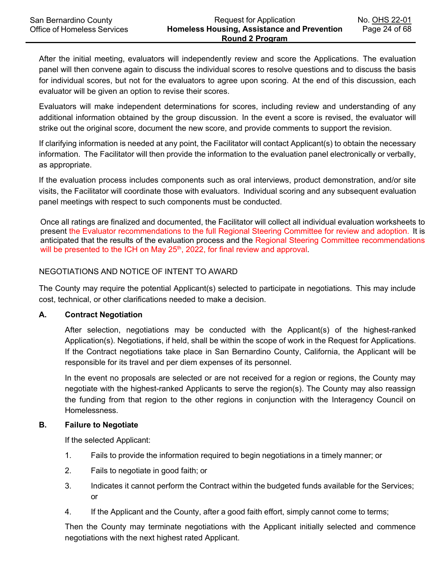After the initial meeting, evaluators will independently review and score the Applications. The evaluation panel will then convene again to discuss the individual scores to resolve questions and to discuss the basis for individual scores, but not for the evaluators to agree upon scoring. At the end of this discussion, each evaluator will be given an option to revise their scores.

Evaluators will make independent determinations for scores, including review and understanding of any additional information obtained by the group discussion. In the event a score is revised, the evaluator will strike out the original score, document the new score, and provide comments to support the revision.

If clarifying information is needed at any point, the Facilitator will contact Applicant(s) to obtain the necessary information. The Facilitator will then provide the information to the evaluation panel electronically or verbally, as appropriate.

If the evaluation process includes components such as oral interviews, product demonstration, and/or site visits, the Facilitator will coordinate those with evaluators. Individual scoring and any subsequent evaluation panel meetings with respect to such components must be conducted.

Once all ratings are finalized and documented, the Facilitator will collect all individual evaluation worksheets to present the Evaluator recommendations to the full Regional Steering Committee for review and adoption. It is anticipated that the results of the evaluation process and the Regional Steering Committee recommendations will be presented to the ICH on May 25<sup>th</sup>, 2022, for final review and approval.

# NEGOTIATIONS AND NOTICE OF INTENT TO AWARD

The County may require the potential Applicant(s) selected to participate in negotiations. This may include cost, technical, or other clarifications needed to make a decision.

## **A. Contract Negotiation**

After selection, negotiations may be conducted with the Applicant(s) of the highest-ranked Application(s). Negotiations, if held, shall be within the scope of work in the Request for Applications. If the Contract negotiations take place in San Bernardino County, California, the Applicant will be responsible for its travel and per diem expenses of its personnel.

In the event no proposals are selected or are not received for a region or regions, the County may negotiate with the highest-ranked Applicants to serve the region(s). The County may also reassign the funding from that region to the other regions in conjunction with the Interagency Council on Homelessness.

## **B. Failure to Negotiate**

If the selected Applicant:

- 1. Fails to provide the information required to begin negotiations in a timely manner; or
- 2. Fails to negotiate in good faith; or
- 3. Indicates it cannot perform the Contract within the budgeted funds available for the Services; or
- 4. If the Applicant and the County, after a good faith effort, simply cannot come to terms;

Then the County may terminate negotiations with the Applicant initially selected and commence negotiations with the next highest rated Applicant.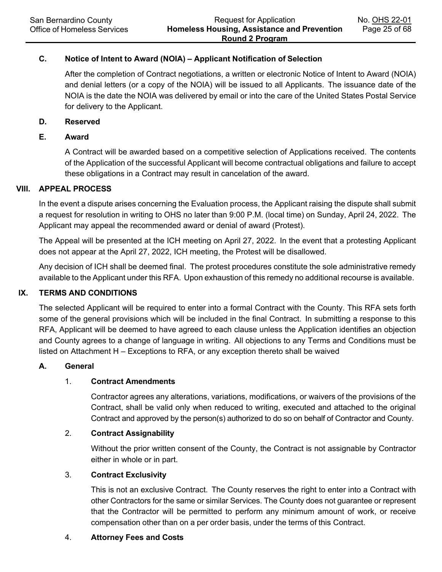# **C. Notice of Intent to Award (NOIA) – Applicant Notification of Selection**

After the completion of Contract negotiations, a written or electronic Notice of Intent to Award (NOIA) and denial letters (or a copy of the NOIA) will be issued to all Applicants. The issuance date of the NOIA is the date the NOIA was delivered by email or into the care of the United States Postal Service for delivery to the Applicant.

#### **D. Reserved**

# **E. Award**

A Contract will be awarded based on a competitive selection of Applications received. The contents of the Application of the successful Applicant will become contractual obligations and failure to accept these obligations in a Contract may result in cancelation of the award.

#### **VIII. APPEAL PROCESS**

In the event a dispute arises concerning the Evaluation process, the Applicant raising the dispute shall submit a request for resolution in writing to OHS no later than 9:00 P.M. (local time) on Sunday, April 24, 2022. The Applicant may appeal the recommended award or denial of award (Protest).

The Appeal will be presented at the ICH meeting on April 27, 2022. In the event that a protesting Applicant does not appear at the April 27, 2022, ICH meeting, the Protest will be disallowed.

Any decision of ICH shall be deemed final. The protest procedures constitute the sole administrative remedy available to the Applicant under this RFA. Upon exhaustion of this remedy no additional recourse is available.

## **IX. TERMS AND CONDITIONS**

The selected Applicant will be required to enter into a formal Contract with the County. This RFA sets forth some of the general provisions which will be included in the final Contract. In submitting a response to this RFA, Applicant will be deemed to have agreed to each clause unless the Application identifies an objection and County agrees to a change of language in writing. All objections to any Terms and Conditions must be listed on Attachment H – Exceptions to RFA, or any exception thereto shall be waived

## **A. General**

# 1. **Contract Amendments**

Contractor agrees any alterations, variations, modifications, or waivers of the provisions of the Contract, shall be valid only when reduced to writing, executed and attached to the original Contract and approved by the person(s) authorized to do so on behalf of Contractor and County.

## 2. **Contract Assignability**

Without the prior written consent of the County, the Contract is not assignable by Contractor either in whole or in part.

## 3. **Contract Exclusivity**

This is not an exclusive Contract. The County reserves the right to enter into a Contract with other Contractors for the same or similar Services. The County does not guarantee or represent that the Contractor will be permitted to perform any minimum amount of work, or receive compensation other than on a per order basis, under the terms of this Contract.

#### 4. **Attorney Fees and Costs**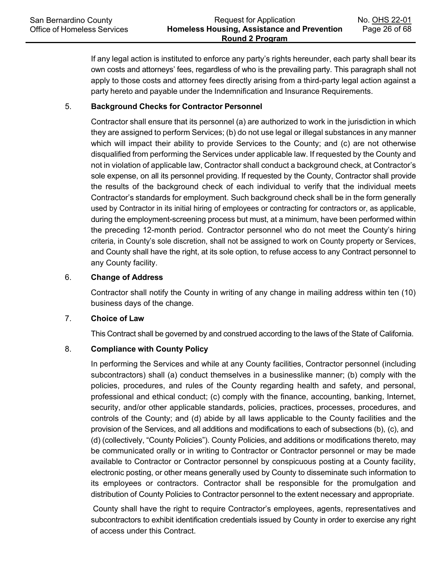If any legal action is instituted to enforce any party's rights hereunder, each party shall bear its own costs and attorneys' fees, regardless of who is the prevailing party. This paragraph shall not apply to those costs and attorney fees directly arising from a third-party legal action against a party hereto and payable under the Indemnification and Insurance Requirements.

# 5. **Background Checks for Contractor Personnel**

Contractor shall ensure that its personnel (a) are authorized to work in the jurisdiction in which they are assigned to perform Services; (b) do not use legal or illegal substances in any manner which will impact their ability to provide Services to the County; and (c) are not otherwise disqualified from performing the Services under applicable law. If requested by the County and not in violation of applicable law, Contractor shall conduct a background check, at Contractor's sole expense, on all its personnel providing. If requested by the County, Contractor shall provide the results of the background check of each individual to verify that the individual meets Contractor's standards for employment. Such background check shall be in the form generally used by Contractor in its initial hiring of employees or contracting for contractors or, as applicable, during the employment-screening process but must, at a minimum, have been performed within the preceding 12-month period. Contractor personnel who do not meet the County's hiring criteria, in County's sole discretion, shall not be assigned to work on County property or Services, and County shall have the right, at its sole option, to refuse access to any Contract personnel to any County facility.

## 6. **Change of Address**

Contractor shall notify the County in writing of any change in mailing address within ten (10) business days of the change.

## 7. **Choice of Law**

This Contract shall be governed by and construed according to the laws of the State of California.

# 8. **Compliance with County Policy**

In performing the Services and while at any County facilities, Contractor personnel (including subcontractors) shall (a) conduct themselves in a businesslike manner; (b) comply with the policies, procedures, and rules of the County regarding health and safety, and personal, professional and ethical conduct; (c) comply with the finance, accounting, banking, Internet, security, and/or other applicable standards, policies, practices, processes, procedures, and controls of the County; and (d) abide by all laws applicable to the County facilities and the provision of the Services, and all additions and modifications to each of subsections (b), (c), and (d) (collectively, "County Policies"). County Policies, and additions or modifications thereto, may be communicated orally or in writing to Contractor or Contractor personnel or may be made available to Contractor or Contractor personnel by conspicuous posting at a County facility, electronic posting, or other means generally used by County to disseminate such information to its employees or contractors. Contractor shall be responsible for the promulgation and distribution of County Policies to Contractor personnel to the extent necessary and appropriate.

County shall have the right to require Contractor's employees, agents, representatives and subcontractors to exhibit identification credentials issued by County in order to exercise any right of access under this Contract.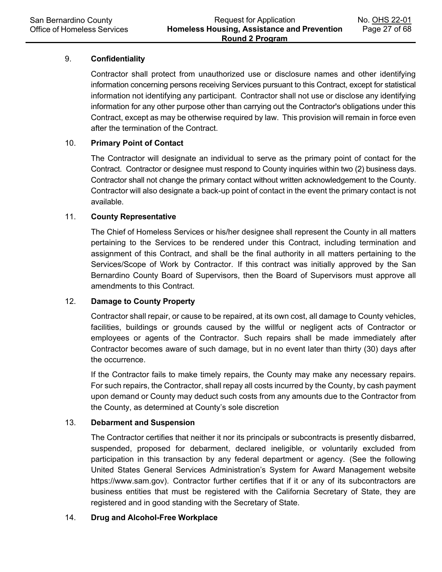# 9. **Confidentiality**

Contractor shall protect from unauthorized use or disclosure names and other identifying information concerning persons receiving Services pursuant to this Contract, except for statistical information not identifying any participant. Contractor shall not use or disclose any identifying information for any other purpose other than carrying out the Contractor's obligations under this Contract, except as may be otherwise required by law. This provision will remain in force even after the termination of the Contract.

## 10. **Primary Point of Contact**

The Contractor will designate an individual to serve as the primary point of contact for the Contract. Contractor or designee must respond to County inquiries within two (2) business days. Contractor shall not change the primary contact without written acknowledgement to the County. Contractor will also designate a back-up point of contact in the event the primary contact is not available.

## 11. **County Representative**

The Chief of Homeless Services or his/her designee shall represent the County in all matters pertaining to the Services to be rendered under this Contract, including termination and assignment of this Contract, and shall be the final authority in all matters pertaining to the Services/Scope of Work by Contractor. If this contract was initially approved by the San Bernardino County Board of Supervisors, then the Board of Supervisors must approve all amendments to this Contract.

## 12. **Damage to County Property**

Contractor shall repair, or cause to be repaired, at its own cost, all damage to County vehicles, facilities, buildings or grounds caused by the willful or negligent acts of Contractor or employees or agents of the Contractor. Such repairs shall be made immediately after Contractor becomes aware of such damage, but in no event later than thirty (30) days after the occurrence.

If the Contractor fails to make timely repairs, the County may make any necessary repairs. For such repairs, the Contractor, shall repay all costs incurred by the County, by cash payment upon demand or County may deduct such costs from any amounts due to the Contractor from the County, as determined at County's sole discretion

# 13. **Debarment and Suspension**

The Contractor certifies that neither it nor its principals or subcontracts is presently disbarred, suspended, proposed for debarment, declared ineligible, or voluntarily excluded from participation in this transaction by any federal department or agency. (See the following United States General Services Administration's System for Award Management website [https://www.sam.gov\)](https://www.sam.gov/). Contractor further certifies that if it or any of its subcontractors are business entities that must be registered with the California Secretary of State, they are registered and in good standing with the Secretary of State.

## 14. **Drug and Alcohol-Free Workplace**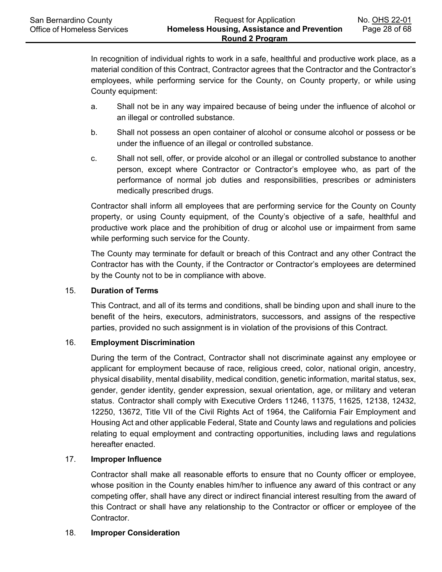In recognition of individual rights to work in a safe, healthful and productive work place, as a material condition of this Contract, Contractor agrees that the Contractor and the Contractor's employees, while performing service for the County, on County property, or while using County equipment:

- a. Shall not be in any way impaired because of being under the influence of alcohol or an illegal or controlled substance.
- b. Shall not possess an open container of alcohol or consume alcohol or possess or be under the influence of an illegal or controlled substance.
- c. Shall not sell, offer, or provide alcohol or an illegal or controlled substance to another person, except where Contractor or Contractor's employee who, as part of the performance of normal job duties and responsibilities, prescribes or administers medically prescribed drugs.

Contractor shall inform all employees that are performing service for the County on County property, or using County equipment, of the County's objective of a safe, healthful and productive work place and the prohibition of drug or alcohol use or impairment from same while performing such service for the County.

The County may terminate for default or breach of this Contract and any other Contract the Contractor has with the County, if the Contractor or Contractor's employees are determined by the County not to be in compliance with above.

# 15. **Duration of Terms**

This Contract, and all of its terms and conditions, shall be binding upon and shall inure to the benefit of the heirs, executors, administrators, successors, and assigns of the respective parties, provided no such assignment is in violation of the provisions of this Contract.

## 16. **Employment Discrimination**

During the term of the Contract, Contractor shall not discriminate against any employee or applicant for employment because of race, religious creed, color, national origin, ancestry, physical disability, mental disability, medical condition, genetic information, marital status, sex, gender, gender identity, gender expression, sexual orientation, age, or military and veteran status. Contractor shall comply with Executive Orders 11246, 11375, 11625, 12138, 12432, 12250, 13672, Title VII of the Civil Rights Act of 1964, the California Fair Employment and Housing Act and other applicable Federal, State and County laws and regulations and policies relating to equal employment and contracting opportunities, including laws and regulations hereafter enacted.

## 17. **Improper Influence**

Contractor shall make all reasonable efforts to ensure that no County officer or employee, whose position in the County enables him/her to influence any award of this contract or any competing offer, shall have any direct or indirect financial interest resulting from the award of this Contract or shall have any relationship to the Contractor or officer or employee of the Contractor.

## 18. **Improper Consideration**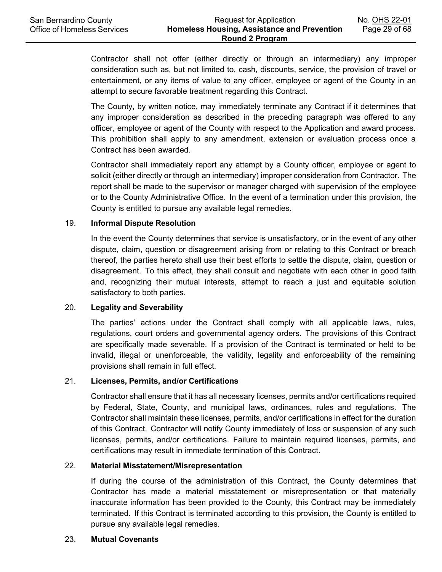Contractor shall not offer (either directly or through an intermediary) any improper consideration such as, but not limited to, cash, discounts, service, the provision of travel or entertainment, or any items of value to any officer, employee or agent of the County in an attempt to secure favorable treatment regarding this Contract.

The County, by written notice, may immediately terminate any Contract if it determines that any improper consideration as described in the preceding paragraph was offered to any officer, employee or agent of the County with respect to the Application and award process. This prohibition shall apply to any amendment, extension or evaluation process once a Contract has been awarded.

Contractor shall immediately report any attempt by a County officer, employee or agent to solicit (either directly or through an intermediary) improper consideration from Contractor. The report shall be made to the supervisor or manager charged with supervision of the employee or to the County Administrative Office. In the event of a termination under this provision, the County is entitled to pursue any available legal remedies.

#### 19. **Informal Dispute Resolution**

In the event the County determines that service is unsatisfactory, or in the event of any other dispute, claim, question or disagreement arising from or relating to this Contract or breach thereof, the parties hereto shall use their best efforts to settle the dispute, claim, question or disagreement. To this effect, they shall consult and negotiate with each other in good faith and, recognizing their mutual interests, attempt to reach a just and equitable solution satisfactory to both parties.

#### 20. **Legality and Severability**

The parties' actions under the Contract shall comply with all applicable laws, rules, regulations, court orders and governmental agency orders. The provisions of this Contract are specifically made severable. If a provision of the Contract is terminated or held to be invalid, illegal or unenforceable, the validity, legality and enforceability of the remaining provisions shall remain in full effect.

#### 21. **Licenses, Permits, and/or Certifications**

Contractor shall ensure that it has all necessary licenses, permits and/or certifications required by Federal, State, County, and municipal laws, ordinances, rules and regulations. The Contractor shall maintain these licenses, permits, and/or certifications in effect for the duration of this Contract. Contractor will notify County immediately of loss or suspension of any such licenses, permits, and/or certifications. Failure to maintain required licenses, permits, and certifications may result in immediate termination of this Contract.

#### 22. **Material Misstatement/Misrepresentation**

If during the course of the administration of this Contract, the County determines that Contractor has made a material misstatement or misrepresentation or that materially inaccurate information has been provided to the County, this Contract may be immediately terminated. If this Contract is terminated according to this provision, the County is entitled to pursue any available legal remedies.

#### 23. **Mutual Covenants**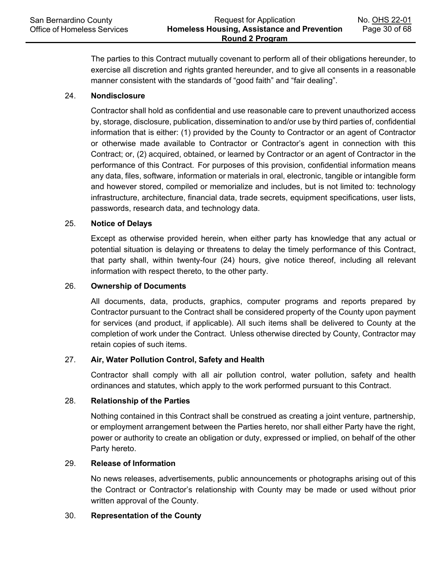The parties to this Contract mutually covenant to perform all of their obligations hereunder, to exercise all discretion and rights granted hereunder, and to give all consents in a reasonable manner consistent with the standards of "good faith" and "fair dealing".

# 24. **Nondisclosure**

Contractor shall hold as confidential and use reasonable care to prevent unauthorized access by, storage, disclosure, publication, dissemination to and/or use by third parties of, confidential information that is either: (1) provided by the County to Contractor or an agent of Contractor or otherwise made available to Contractor or Contractor's agent in connection with this Contract; or, (2) acquired, obtained, or learned by Contractor or an agent of Contractor in the performance of this Contract. For purposes of this provision, confidential information means any data, files, software, information or materials in oral, electronic, tangible or intangible form and however stored, compiled or memorialize and includes, but is not limited to: technology infrastructure, architecture, financial data, trade secrets, equipment specifications, user lists, passwords, research data, and technology data.

## 25. **Notice of Delays**

Except as otherwise provided herein, when either party has knowledge that any actual or potential situation is delaying or threatens to delay the timely performance of this Contract, that party shall, within twenty-four (24) hours, give notice thereof, including all relevant information with respect thereto, to the other party.

# 26. **Ownership of Documents**

All documents, data, products, graphics, computer programs and reports prepared by Contractor pursuant to the Contract shall be considered property of the County upon payment for services (and product, if applicable). All such items shall be delivered to County at the completion of work under the Contract. Unless otherwise directed by County, Contractor may retain copies of such items.

## 27. **Air, Water Pollution Control, Safety and Health**

Contractor shall comply with all air pollution control, water pollution, safety and health ordinances and statutes, which apply to the work performed pursuant to this Contract.

#### 28. **Relationship of the Parties**

Nothing contained in this Contract shall be construed as creating a joint venture, partnership, or employment arrangement between the Parties hereto, nor shall either Party have the right, power or authority to create an obligation or duty, expressed or implied, on behalf of the other Party hereto.

#### 29. **Release of Information**

No news releases, advertisements, public announcements or photographs arising out of this the Contract or Contractor's relationship with County may be made or used without prior written approval of the County.

#### 30. **Representation of the County**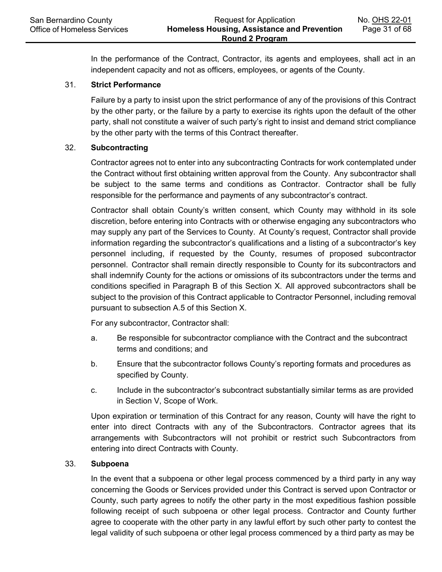In the performance of the Contract, Contractor, its agents and employees, shall act in an independent capacity and not as officers, employees, or agents of the County.

#### 31. **Strict Performance**

Failure by a party to insist upon the strict performance of any of the provisions of this Contract by the other party, or the failure by a party to exercise its rights upon the default of the other party, shall not constitute a waiver of such party's right to insist and demand strict compliance by the other party with the terms of this Contract thereafter.

#### 32. **Subcontracting**

Contractor agrees not to enter into any subcontracting Contracts for work contemplated under the Contract without first obtaining written approval from the County. Any subcontractor shall be subject to the same terms and conditions as Contractor. Contractor shall be fully responsible for the performance and payments of any subcontractor's contract.

Contractor shall obtain County's written consent, which County may withhold in its sole discretion, before entering into Contracts with or otherwise engaging any subcontractors who may supply any part of the Services to County. At County's request, Contractor shall provide information regarding the subcontractor's qualifications and a listing of a subcontractor's key personnel including, if requested by the County, resumes of proposed subcontractor personnel. Contractor shall remain directly responsible to County for its subcontractors and shall indemnify County for the actions or omissions of its subcontractors under the terms and conditions specified in Paragraph B of this Section X. All approved subcontractors shall be subject to the provision of this Contract applicable to Contractor Personnel, including removal pursuant to subsection A.5 of this Section X.

For any subcontractor, Contractor shall:

- a. Be responsible for subcontractor compliance with the Contract and the subcontract terms and conditions; and
- b. Ensure that the subcontractor follows County's reporting formats and procedures as specified by County.
- c. Include in the subcontractor's subcontract substantially similar terms as are provided in Section V, Scope of Work.

Upon expiration or termination of this Contract for any reason, County will have the right to enter into direct Contracts with any of the Subcontractors. Contractor agrees that its arrangements with Subcontractors will not prohibit or restrict such Subcontractors from entering into direct Contracts with County.

#### 33. **Subpoena**

In the event that a subpoena or other legal process commenced by a third party in any way concerning the Goods or Services provided under this Contract is served upon Contractor or County, such party agrees to notify the other party in the most expeditious fashion possible following receipt of such subpoena or other legal process. Contractor and County further agree to cooperate with the other party in any lawful effort by such other party to contest the legal validity of such subpoena or other legal process commenced by a third party as may be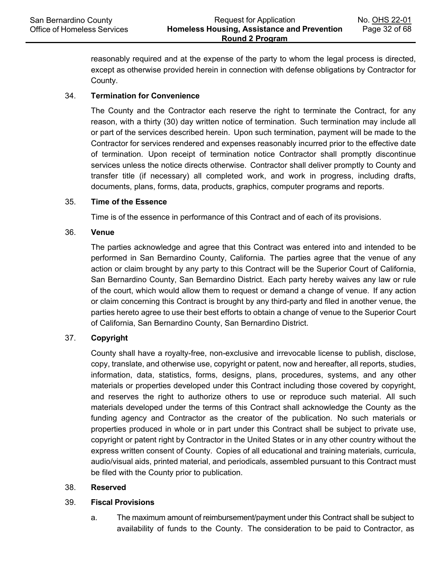reasonably required and at the expense of the party to whom the legal process is directed, except as otherwise provided herein in connection with defense obligations by Contractor for County.

# 34. **Termination for Convenience**

The County and the Contractor each reserve the right to terminate the Contract, for any reason, with a thirty (30) day written notice of termination. Such termination may include all or part of the services described herein. Upon such termination, payment will be made to the Contractor for services rendered and expenses reasonably incurred prior to the effective date of termination. Upon receipt of termination notice Contractor shall promptly discontinue services unless the notice directs otherwise. Contractor shall deliver promptly to County and transfer title (if necessary) all completed work, and work in progress, including drafts, documents, plans, forms, data, products, graphics, computer programs and reports.

## 35. **Time of the Essence**

Time is of the essence in performance of this Contract and of each of its provisions.

## 36. **Venue**

The parties acknowledge and agree that this Contract was entered into and intended to be performed in San Bernardino County, California. The parties agree that the venue of any action or claim brought by any party to this Contract will be the Superior Court of California, San Bernardino County, San Bernardino District. Each party hereby waives any law or rule of the court, which would allow them to request or demand a change of venue. If any action or claim concerning this Contract is brought by any third-party and filed in another venue, the parties hereto agree to use their best efforts to obtain a change of venue to the Superior Court of California, San Bernardino County, San Bernardino District.

# 37. **Copyright**

County shall have a royalty-free, non-exclusive and irrevocable license to publish, disclose, copy, translate, and otherwise use, copyright or patent, now and hereafter, all reports, studies, information, data, statistics, forms, designs, plans, procedures, systems, and any other materials or properties developed under this Contract including those covered by copyright, and reserves the right to authorize others to use or reproduce such material. All such materials developed under the terms of this Contract shall acknowledge the County as the funding agency and Contractor as the creator of the publication. No such materials or properties produced in whole or in part under this Contract shall be subject to private use, copyright or patent right by Contractor in the United States or in any other country without the express written consent of County. Copies of all educational and training materials, curricula, audio/visual aids, printed material, and periodicals, assembled pursuant to this Contract must be filed with the County prior to publication.

## 38. **Reserved**

## 39. **Fiscal Provisions**

a. The maximum amount of reimbursement/payment under this Contract shall be subject to availability of funds to the County. The consideration to be paid to Contractor, as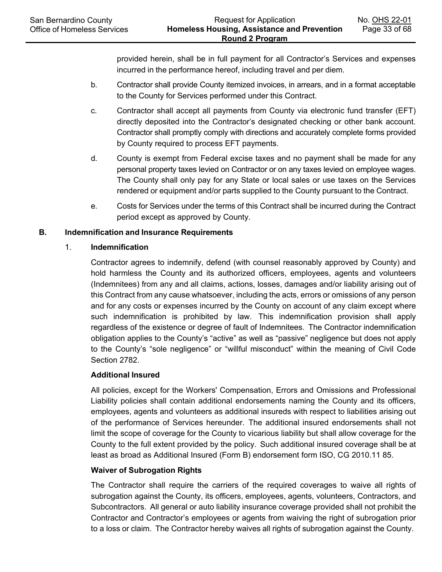provided herein, shall be in full payment for all Contractor's Services and expenses incurred in the performance hereof, including travel and per diem.

- b. Contractor shall provide County itemized invoices, in arrears, and in a format acceptable to the County for Services performed under this Contract.
- c. Contractor shall accept all payments from County via electronic fund transfer (EFT) directly deposited into the Contractor's designated checking or other bank account. Contractor shall promptly comply with directions and accurately complete forms provided by County required to process EFT payments.
- d. County is exempt from Federal excise taxes and no payment shall be made for any personal property taxes levied on Contractor or on any taxes levied on employee wages. The County shall only pay for any State or local sales or use taxes on the Services rendered or equipment and/or parts supplied to the County pursuant to the Contract.
- e. Costs for Services under the terms of this Contract shall be incurred during the Contract period except as approved by County.

# **B. Indemnification and Insurance Requirements**

## 1. **Indemnification**

Contractor agrees to indemnify, defend (with counsel reasonably approved by County) and hold harmless the County and its authorized officers, employees, agents and volunteers (Indemnitees) from any and all claims, actions, losses, damages and/or liability arising out of this Contract from any cause whatsoever, including the acts, errors or omissions of any person and for any costs or expenses incurred by the County on account of any claim except where such indemnification is prohibited by law. This indemnification provision shall apply regardless of the existence or degree of fault of Indemnitees. The Contractor indemnification obligation applies to the County's "active" as well as "passive" negligence but does not apply to the County's "sole negligence" or "willful misconduct" within the meaning of Civil Code Section 2782.

## **Additional Insured**

All policies, except for the Workers' Compensation, Errors and Omissions and Professional Liability policies shall contain additional endorsements naming the County and its officers, employees, agents and volunteers as additional insureds with respect to liabilities arising out of the performance of Services hereunder. The additional insured endorsements shall not limit the scope of coverage for the County to vicarious liability but shall allow coverage for the County to the full extent provided by the policy. Such additional insured coverage shall be at least as broad as Additional Insured (Form B) endorsement form ISO, CG 2010.11 85.

## **Waiver of Subrogation Rights**

The Contractor shall require the carriers of the required coverages to waive all rights of subrogation against the County, its officers, employees, agents, volunteers, Contractors, and Subcontractors. All general or auto liability insurance coverage provided shall not prohibit the Contractor and Contractor's employees or agents from waiving the right of subrogation prior to a loss or claim. The Contractor hereby waives all rights of subrogation against the County.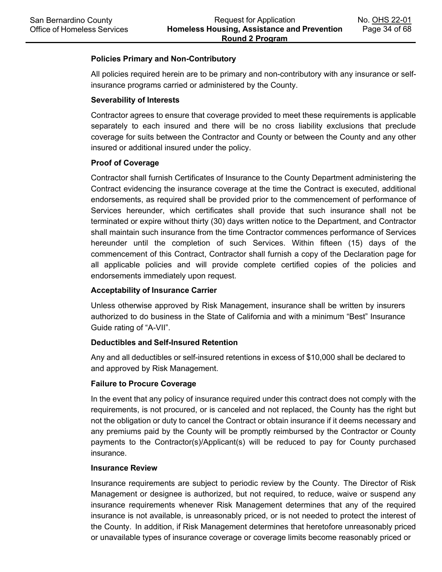#### **Policies Primary and Non-Contributory**

All policies required herein are to be primary and non-contributory with any insurance or selfinsurance programs carried or administered by the County.

#### **Severability of Interests**

Contractor agrees to ensure that coverage provided to meet these requirements is applicable separately to each insured and there will be no cross liability exclusions that preclude coverage for suits between the Contractor and County or between the County and any other insured or additional insured under the policy.

#### **Proof of Coverage**

Contractor shall furnish Certificates of Insurance to the County Department administering the Contract evidencing the insurance coverage at the time the Contract is executed, additional endorsements, as required shall be provided prior to the commencement of performance of Services hereunder, which certificates shall provide that such insurance shall not be terminated or expire without thirty (30) days written notice to the Department, and Contractor shall maintain such insurance from the time Contractor commences performance of Services hereunder until the completion of such Services. Within fifteen (15) days of the commencement of this Contract, Contractor shall furnish a copy of the Declaration page for all applicable policies and will provide complete certified copies of the policies and endorsements immediately upon request.

## **Acceptability of Insurance Carrier**

Unless otherwise approved by Risk Management, insurance shall be written by insurers authorized to do business in the State of California and with a minimum "Best" Insurance Guide rating of "A-VII".

## **Deductibles and Self-Insured Retention**

Any and all deductibles or self-insured retentions in excess of \$10,000 shall be declared to and approved by Risk Management.

#### **Failure to Procure Coverage**

In the event that any policy of insurance required under this contract does not comply with the requirements, is not procured, or is canceled and not replaced, the County has the right but not the obligation or duty to cancel the Contract or obtain insurance if it deems necessary and any premiums paid by the County will be promptly reimbursed by the Contractor or County payments to the Contractor(s)/Applicant(s) will be reduced to pay for County purchased insurance.

#### **Insurance Review**

Insurance requirements are subject to periodic review by the County. The Director of Risk Management or designee is authorized, but not required, to reduce, waive or suspend any insurance requirements whenever Risk Management determines that any of the required insurance is not available, is unreasonably priced, or is not needed to protect the interest of the County. In addition, if Risk Management determines that heretofore unreasonably priced or unavailable types of insurance coverage or coverage limits become reasonably priced or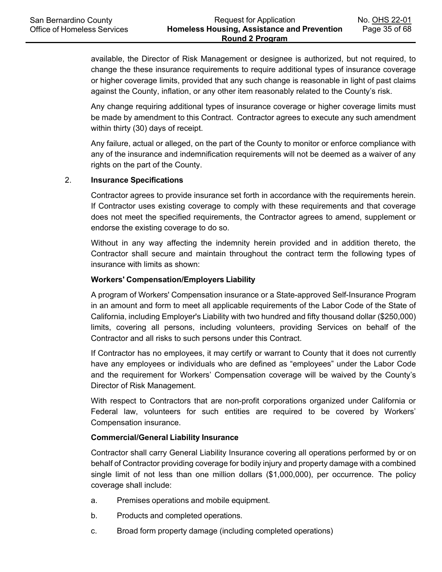available, the Director of Risk Management or designee is authorized, but not required, to change the these insurance requirements to require additional types of insurance coverage or higher coverage limits, provided that any such change is reasonable in light of past claims against the County, inflation, or any other item reasonably related to the County's risk.

Any change requiring additional types of insurance coverage or higher coverage limits must be made by amendment to this Contract. Contractor agrees to execute any such amendment within thirty (30) days of receipt.

Any failure, actual or alleged, on the part of the County to monitor or enforce compliance with any of the insurance and indemnification requirements will not be deemed as a waiver of any rights on the part of the County.

# 2. **Insurance Specifications**

Contractor agrees to provide insurance set forth in accordance with the requirements herein. If Contractor uses existing coverage to comply with these requirements and that coverage does not meet the specified requirements, the Contractor agrees to amend, supplement or endorse the existing coverage to do so.

Without in any way affecting the indemnity herein provided and in addition thereto, the Contractor shall secure and maintain throughout the contract term the following types of insurance with limits as shown:

#### **Workers' Compensation/Employers Liability**

A program of Workers' Compensation insurance or a State-approved Self-Insurance Program in an amount and form to meet all applicable requirements of the Labor Code of the State of California, including Employer's Liability with two hundred and fifty thousand dollar (\$250,000) limits, covering all persons, including volunteers, providing Services on behalf of the Contractor and all risks to such persons under this Contract.

If Contractor has no employees, it may certify or warrant to County that it does not currently have any employees or individuals who are defined as "employees" under the Labor Code and the requirement for Workers' Compensation coverage will be waived by the County's Director of Risk Management.

With respect to Contractors that are non-profit corporations organized under California or Federal law, volunteers for such entities are required to be covered by Workers' Compensation insurance.

#### **Commercial/General Liability Insurance**

Contractor shall carry General Liability Insurance covering all operations performed by or on behalf of Contractor providing coverage for bodily injury and property damage with a combined single limit of not less than one million dollars (\$1,000,000), per occurrence. The policy coverage shall include:

- a. Premises operations and mobile equipment.
- b. Products and completed operations.
- c. Broad form property damage (including completed operations)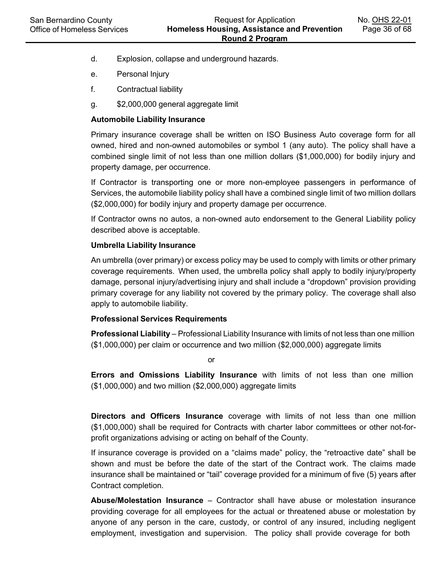- d. Explosion, collapse and underground hazards.
- e. Personal Injury
- f. Contractual liability
- g. \$2,000,000 general aggregate limit

#### **Automobile Liability Insurance**

Primary insurance coverage shall be written on ISO Business Auto coverage form for all owned, hired and non-owned automobiles or symbol 1 (any auto). The policy shall have a combined single limit of not less than one million dollars (\$1,000,000) for bodily injury and property damage, per occurrence.

If Contractor is transporting one or more non-employee passengers in performance of Services, the automobile liability policy shall have a combined single limit of two million dollars (\$2,000,000) for bodily injury and property damage per occurrence.

If Contractor owns no autos, a non-owned auto endorsement to the General Liability policy described above is acceptable.

#### **Umbrella Liability Insurance**

An umbrella (over primary) or excess policy may be used to comply with limits or other primary coverage requirements. When used, the umbrella policy shall apply to bodily injury/property damage, personal injury/advertising injury and shall include a "dropdown" provision providing primary coverage for any liability not covered by the primary policy. The coverage shall also apply to automobile liability.

#### **Professional Services Requirements**

**Professional Liability** – Professional Liability Insurance with limits of not less than one million (\$1,000,000) per claim or occurrence and two million (\$2,000,000) aggregate limits

or

**Errors and Omissions Liability Insurance** with limits of not less than one million (\$1,000,000) and two million (\$2,000,000) aggregate limits

**Directors and Officers Insurance** coverage with limits of not less than one million (\$1,000,000) shall be required for Contracts with charter labor committees or other not-forprofit organizations advising or acting on behalf of the County.

If insurance coverage is provided on a "claims made" policy, the "retroactive date" shall be shown and must be before the date of the start of the Contract work. The claims made insurance shall be maintained or "tail" coverage provided for a minimum of five (5) years after Contract completion.

**Abuse/Molestation Insurance** – Contractor shall have abuse or molestation insurance providing coverage for all employees for the actual or threatened abuse or molestation by anyone of any person in the care, custody, or control of any insured, including negligent employment, investigation and supervision. The policy shall provide coverage for both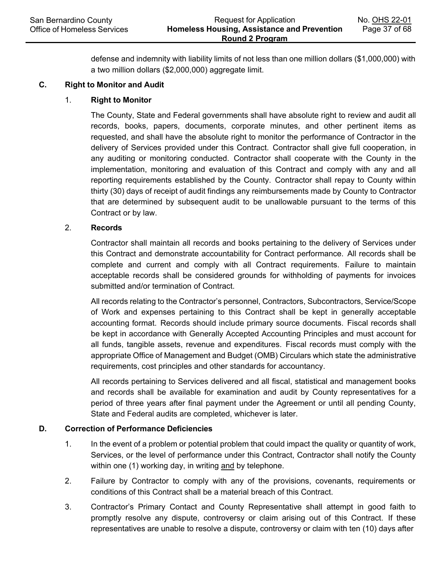defense and indemnity with liability limits of not less than one million dollars (\$1,000,000) with a two million dollars (\$2,000,000) aggregate limit.

#### **C. Right to Monitor and Audit**

#### 1. **Right to Monitor**

The County, State and Federal governments shall have absolute right to review and audit all records, books, papers, documents, corporate minutes, and other pertinent items as requested, and shall have the absolute right to monitor the performance of Contractor in the delivery of Services provided under this Contract. Contractor shall give full cooperation, in any auditing or monitoring conducted. Contractor shall cooperate with the County in the implementation, monitoring and evaluation of this Contract and comply with any and all reporting requirements established by the County. Contractor shall repay to County within thirty (30) days of receipt of audit findings any reimbursements made by County to Contractor that are determined by subsequent audit to be unallowable pursuant to the terms of this Contract or by law.

#### 2. **Records**

Contractor shall maintain all records and books pertaining to the delivery of Services under this Contract and demonstrate accountability for Contract performance. All records shall be complete and current and comply with all Contract requirements. Failure to maintain acceptable records shall be considered grounds for withholding of payments for invoices submitted and/or termination of Contract.

All records relating to the Contractor's personnel, Contractors, Subcontractors, Service/Scope of Work and expenses pertaining to this Contract shall be kept in generally acceptable accounting format. Records should include primary source documents. Fiscal records shall be kept in accordance with Generally Accepted Accounting Principles and must account for all funds, tangible assets, revenue and expenditures. Fiscal records must comply with the appropriate Office of Management and Budget (OMB) Circulars which state the administrative requirements, cost principles and other standards for accountancy.

All records pertaining to Services delivered and all fiscal, statistical and management books and records shall be available for examination and audit by County representatives for a period of three years after final payment under the Agreement or until all pending County, State and Federal audits are completed, whichever is later.

## **D. Correction of Performance Deficiencies**

- 1. In the event of a problem or potential problem that could impact the quality or quantity of work, Services, or the level of performance under this Contract, Contractor shall notify the County within one (1) working day, in writing and by telephone.
- 2. Failure by Contractor to comply with any of the provisions, covenants, requirements or conditions of this Contract shall be a material breach of this Contract.
- 3. Contractor's Primary Contact and County Representative shall attempt in good faith to promptly resolve any dispute, controversy or claim arising out of this Contract. If these representatives are unable to resolve a dispute, controversy or claim with ten (10) days after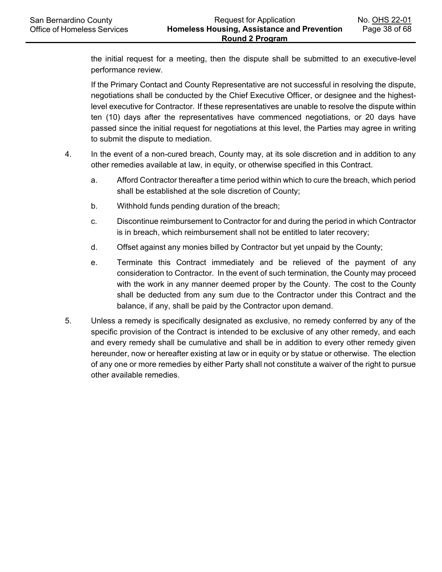the initial request for a meeting, then the dispute shall be submitted to an executive-level performance review.

If the Primary Contact and County Representative are not successful in resolving the dispute, negotiations shall be conducted by the Chief Executive Officer, or designee and the highestlevel executive for Contractor. If these representatives are unable to resolve the dispute within ten (10) days after the representatives have commenced negotiations, or 20 days have passed since the initial request for negotiations at this level, the Parties may agree in writing to submit the dispute to mediation.

- 4. In the event of a non-cured breach, County may, at its sole discretion and in addition to any other remedies available at law, in equity, or otherwise specified in this Contract.
	- a. Afford Contractor thereafter a time period within which to cure the breach, which period shall be established at the sole discretion of County;
	- b. Withhold funds pending duration of the breach;
	- c. Discontinue reimbursement to Contractor for and during the period in which Contractor is in breach, which reimbursement shall not be entitled to later recovery;
	- d. Offset against any monies billed by Contractor but yet unpaid by the County;
	- e. Terminate this Contract immediately and be relieved of the payment of any consideration to Contractor. In the event of such termination, the County may proceed with the work in any manner deemed proper by the County. The cost to the County shall be deducted from any sum due to the Contractor under this Contract and the balance, if any, shall be paid by the Contractor upon demand.
- 5. Unless a remedy is specifically designated as exclusive, no remedy conferred by any of the specific provision of the Contract is intended to be exclusive of any other remedy, and each and every remedy shall be cumulative and shall be in addition to every other remedy given hereunder, now or hereafter existing at law or in equity or by statue or otherwise. The election of any one or more remedies by either Party shall not constitute a waiver of the right to pursue other available remedies.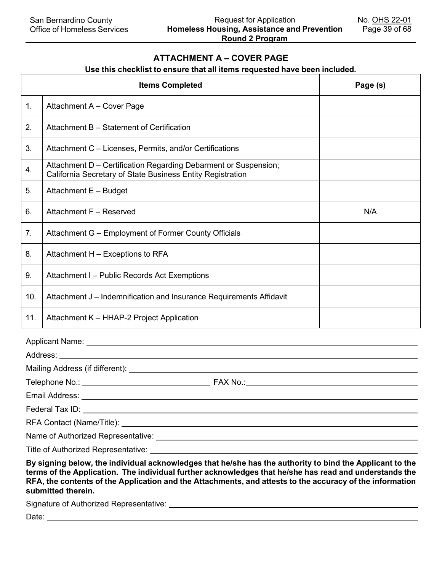## **ATTACHMENT A – COVER PAGE**

# **Use this checklist to ensure that all items requested have been included.**

|     | <b>Items Completed</b>                                                                                                                                                                                                                                                                                                                               | Page (s) |
|-----|------------------------------------------------------------------------------------------------------------------------------------------------------------------------------------------------------------------------------------------------------------------------------------------------------------------------------------------------------|----------|
| 1.  | Attachment A - Cover Page                                                                                                                                                                                                                                                                                                                            |          |
| 2.  | Attachment B - Statement of Certification                                                                                                                                                                                                                                                                                                            |          |
| 3.  | Attachment C - Licenses, Permits, and/or Certifications                                                                                                                                                                                                                                                                                              |          |
| 4.  | Attachment D - Certification Regarding Debarment or Suspension;<br>California Secretary of State Business Entity Registration                                                                                                                                                                                                                        |          |
| 5.  | Attachment E - Budget                                                                                                                                                                                                                                                                                                                                |          |
| 6.  | Attachment F - Reserved                                                                                                                                                                                                                                                                                                                              | N/A      |
| 7.  | Attachment G - Employment of Former County Officials                                                                                                                                                                                                                                                                                                 |          |
| 8.  | Attachment H - Exceptions to RFA                                                                                                                                                                                                                                                                                                                     |          |
| 9.  | Attachment I - Public Records Act Exemptions                                                                                                                                                                                                                                                                                                         |          |
| 10. | Attachment J – Indemnification and Insurance Requirements Affidavit                                                                                                                                                                                                                                                                                  |          |
| 11. | Attachment K - HHAP-2 Project Application                                                                                                                                                                                                                                                                                                            |          |
|     | Applicant Name: <u>Cambridge Communication</u>                                                                                                                                                                                                                                                                                                       |          |
|     | Address: Andreas Address and American American American American American American American American American                                                                                                                                                                                                                                        |          |
|     |                                                                                                                                                                                                                                                                                                                                                      |          |
|     |                                                                                                                                                                                                                                                                                                                                                      |          |
|     | Email Address:                                                                                                                                                                                                                                                                                                                                       |          |
|     |                                                                                                                                                                                                                                                                                                                                                      |          |
|     | RFA Contact (Name/Title): Name and South Article of the Contact of Name and South Article of the Contact of Name and South Article of the Contact of the Contact of the Contact of the Contact of the Contact of the Contact o                                                                                                                       |          |
|     |                                                                                                                                                                                                                                                                                                                                                      |          |
|     |                                                                                                                                                                                                                                                                                                                                                      |          |
|     | By signing below, the individual acknowledges that he/she has the authority to bind the Applicant to the<br>terms of the Application. The individual further acknowledges that he/she has read and understands the<br>RFA, the contents of the Application and the Attachments, and attests to the accuracy of the information<br>submitted therein. |          |

Signature of Authorized Representative:

Date: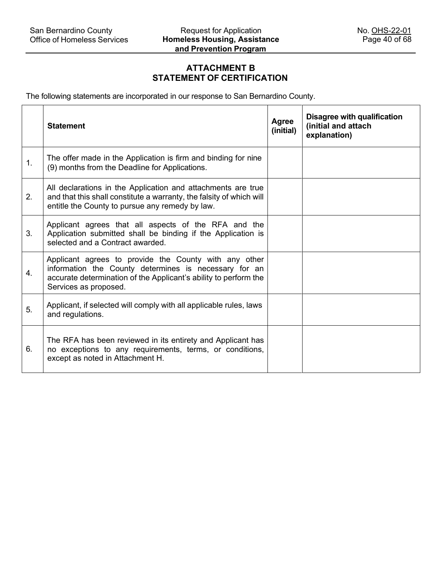# **ATTACHMENT B STATEMENT OF CERTIFICATION**

The following statements are incorporated in our response to San Bernardino County.

|    | <b>Statement</b>                                                                                                                                                                                            | Agree<br>(initial) | <b>Disagree with qualification</b><br>(initial and attach<br>explanation) |
|----|-------------------------------------------------------------------------------------------------------------------------------------------------------------------------------------------------------------|--------------------|---------------------------------------------------------------------------|
| 1. | The offer made in the Application is firm and binding for nine<br>(9) months from the Deadline for Applications.                                                                                            |                    |                                                                           |
| 2. | All declarations in the Application and attachments are true<br>and that this shall constitute a warranty, the falsity of which will<br>entitle the County to pursue any remedy by law.                     |                    |                                                                           |
| 3. | Applicant agrees that all aspects of the RFA and the<br>Application submitted shall be binding if the Application is<br>selected and a Contract awarded.                                                    |                    |                                                                           |
| 4. | Applicant agrees to provide the County with any other<br>information the County determines is necessary for an<br>accurate determination of the Applicant's ability to perform the<br>Services as proposed. |                    |                                                                           |
| 5. | Applicant, if selected will comply with all applicable rules, laws<br>and regulations.                                                                                                                      |                    |                                                                           |
| 6. | The RFA has been reviewed in its entirety and Applicant has<br>no exceptions to any requirements, terms, or conditions,<br>except as noted in Attachment H.                                                 |                    |                                                                           |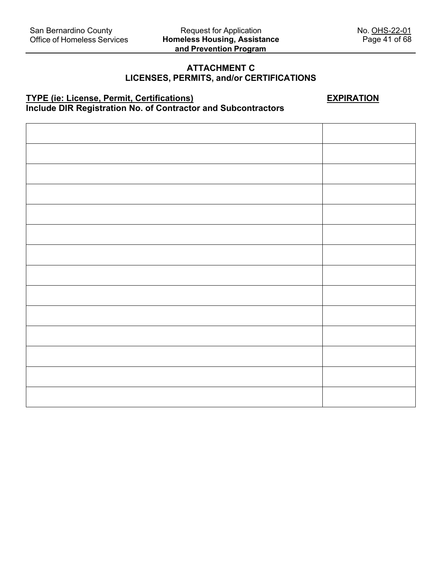# **ATTACHMENT C**

# **LICENSES, PERMITS, and/or CERTIFICATIONS**

# **TYPE (ie: License, Permit, Certifications) EXPIRATION Include DIR Registration No. of Contractor and Subcontractors**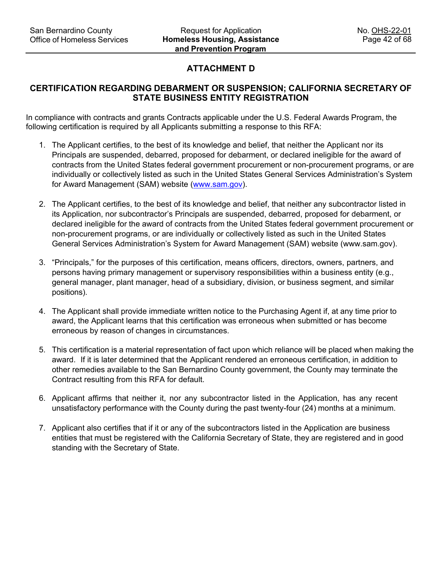# **ATTACHMENT D**

# **CERTIFICATION REGARDING DEBARMENT OR SUSPENSION; CALIFORNIA SECRETARY OF STATE BUSINESS ENTITY REGISTRATION**

In compliance with contracts and grants Contracts applicable under the U.S. Federal Awards Program, the following certification is required by all Applicants submitting a response to this RFA:

- 1. The Applicant certifies, to the best of its knowledge and belief, that neither the Applicant nor its Principals are suspended, debarred, proposed for debarment, or declared ineligible for the award of contracts from the United States federal government procurement or non-procurement programs, or are individually or collectively listed as such in the United States General Services Administration's System for Award Management (SAM) website [\(www.sam.gov\)](http://www.sam.gov/).
- 2. The Applicant certifies, to the best of its knowledge and belief, that neither any subcontractor listed in its Application, nor subcontractor's Principals are suspended, debarred, proposed for debarment, or declared ineligible for the award of contracts from the United States federal government procurement or non-procurement programs, or are individually or collectively listed as such in the United States General Services Administration's System for Award Management (SAM) website (www.sam.gov).
- 3. "Principals," for the purposes of this certification, means officers, directors, owners, partners, and persons having primary management or supervisory responsibilities within a business entity (e.g., general manager, plant manager, head of a subsidiary, division, or business segment, and similar positions).
- 4. The Applicant shall provide immediate written notice to the Purchasing Agent if, at any time prior to award, the Applicant learns that this certification was erroneous when submitted or has become erroneous by reason of changes in circumstances.
- 5. This certification is a material representation of fact upon which reliance will be placed when making the award. If it is later determined that the Applicant rendered an erroneous certification, in addition to other remedies available to the San Bernardino County government, the County may terminate the Contract resulting from this RFA for default.
- 6. Applicant affirms that neither it, nor any subcontractor listed in the Application, has any recent unsatisfactory performance with the County during the past twenty-four (24) months at a minimum.
- 7. Applicant also certifies that if it or any of the subcontractors listed in the Application are business entities that must be registered with the California Secretary of State, they are registered and in good standing with the Secretary of State.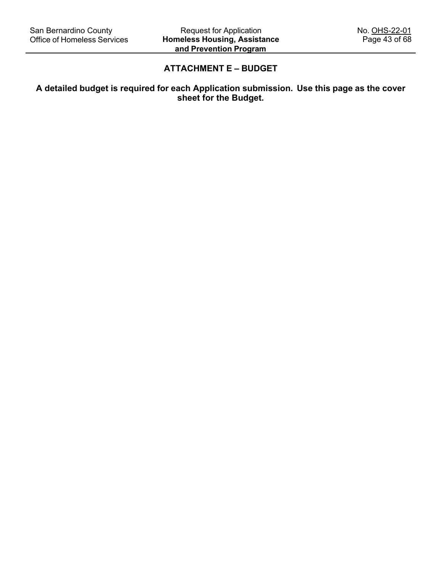# **ATTACHMENT E – BUDGET**

# **A detailed budget is required for each Application submission. Use this page as the cover sheet for the Budget.**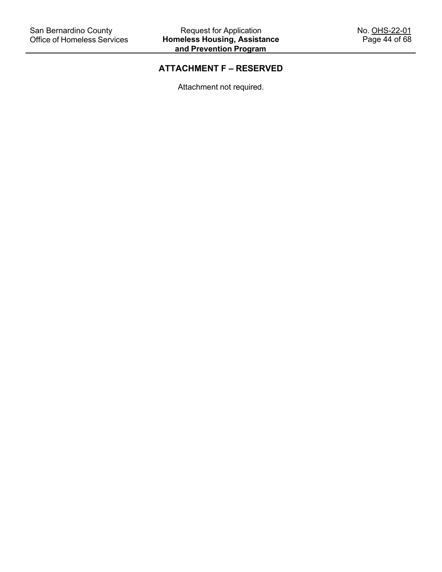# **ATTACHMENT F – RESERVED**

Attachment not required.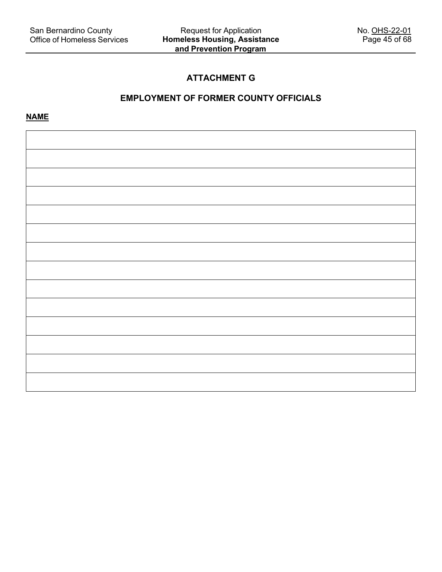# **ATTACHMENT G**

# **EMPLOYMENT OF FORMER COUNTY OFFICIALS**

**NAME**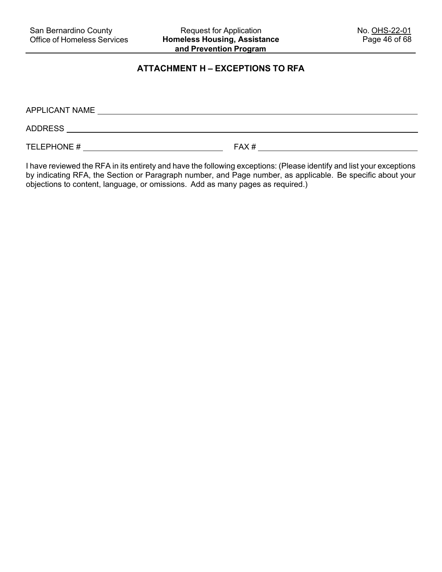# **ATTACHMENT H – EXCEPTIONS TO RFA**

| APPLICANT NAME |      |
|----------------|------|
| <b>ADDRESS</b> |      |
| TELEPHONE #    | FAX# |

I have reviewed the RFA in its entirety and have the following exceptions: (Please identify and list your exceptions by indicating RFA, the Section or Paragraph number, and Page number, as applicable. Be specific about your objections to content, language, or omissions. Add as many pages as required.)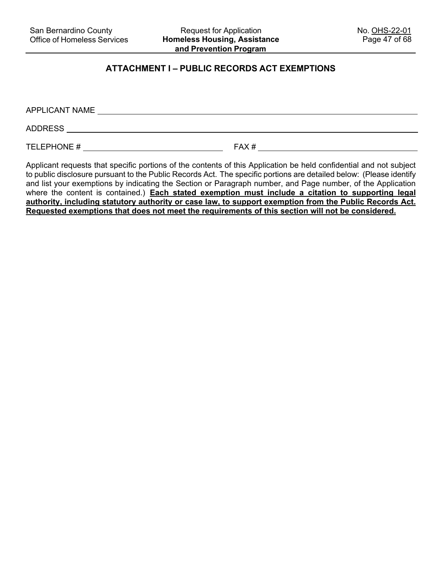# **ATTACHMENT I – PUBLIC RECORDS ACT EXEMPTIONS**

| APPLICANT NAME |      |
|----------------|------|
| <b>ADDRESS</b> |      |
| TELEPHONE #    | FAX# |

Applicant requests that specific portions of the contents of this Application be held confidential and not subject to public disclosure pursuant to the Public Records Act. The specific portions are detailed below: (Please identify and list your exemptions by indicating the Section or Paragraph number, and Page number, of the Application where the content is contained.) **Each stated exemption must include a citation to supporting legal authority, including statutory authority or case law, to support exemption from the Public Records Act. Requested exemptions that does not meet the requirements of this section will not be considered.**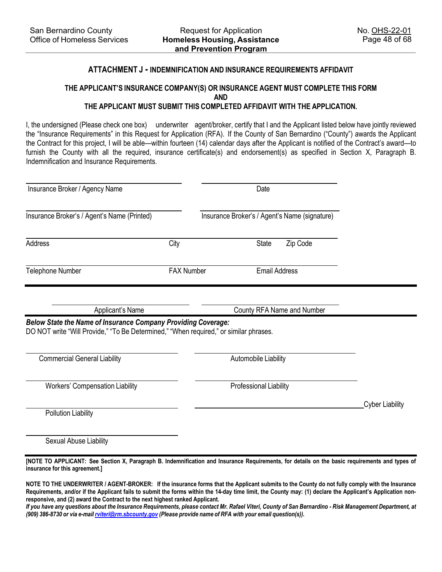#### **ATTACHMENT J - INDEMNIFICATION AND INSURANCE REQUIREMENTS AFFIDAVIT**

# **THE APPLICANT'S INSURANCE COMPANY(S) OR INSURANCE AGENT MUST COMPLETE THIS FORM AND**

# **THE APPLICANT MUST SUBMIT THIS COMPLETED AFFIDAVIT WITH THE APPLICATION.**

I, the undersigned (Please check one box) underwriter agent/broker, certify that I and the Applicant listed below have jointly reviewed the "Insurance Requirements" in this Request for Application (RFA). If the County of San Bernardino ("County") awards the Applicant the Contract for this project, I will be able—within fourteen (14) calendar days after the Applicant is notified of the Contract's award—to furnish the County with all the required, insurance certificate(s) and endorsement(s) as specified in Section X, Paragraph B. Indemnification and Insurance Requirements.

| Insurance Broker / Agency Name                                                                                                                                |                   | Date                                          |                            |                        |
|---------------------------------------------------------------------------------------------------------------------------------------------------------------|-------------------|-----------------------------------------------|----------------------------|------------------------|
| Insurance Broker's / Agent's Name (Printed)                                                                                                                   |                   | Insurance Broker's / Agent's Name (signature) |                            |                        |
| Address                                                                                                                                                       | City              | State                                         | Zip Code                   |                        |
| Telephone Number                                                                                                                                              | <b>FAX Number</b> |                                               | <b>Email Address</b>       |                        |
| Applicant's Name                                                                                                                                              |                   |                                               | County RFA Name and Number |                        |
| <b>Below State the Name of Insurance Company Providing Coverage:</b><br>DO NOT write "Will Provide," "To Be Determined," "When required," or similar phrases. |                   |                                               |                            |                        |
| <b>Commercial General Liability</b>                                                                                                                           |                   | Automobile Liability                          |                            |                        |
| <b>Workers' Compensation Liability</b>                                                                                                                        |                   | Professional Liability                        |                            |                        |
| <b>Pollution Liability</b>                                                                                                                                    |                   |                                               |                            | <b>Cyber Liability</b> |
| Sexual Abuse Liability                                                                                                                                        |                   |                                               |                            |                        |

**[NOTE TO APPLICANT: See Section X, Paragraph B. Indemnification and Insurance Requirements, for details on the basic requirements and types of insurance for this agreement.]**

**NOTE TO THE UNDERWRITER / AGENT-BROKER: If the insurance forms that the Applicant submits to the County do not fully comply with the Insurance Requirements, and/or if the Applicant fails to submit the forms within the 14-day time limit, the County may: (1) declare the Applicant's Application nonresponsive, and (2) award the Contract to the next highest ranked Applicant.**

If you have any questions about the Insurance Requirements, please contact Mr. Rafael Viteri, County of San Bernardino - Risk Management Department, at *(909) 386-8730 or via e-mail [rviteri@rm.sbcounty.gov](mailto:rviteri@rm.sbcounty.gov) (Please provide name of RFA with your email question(s)).*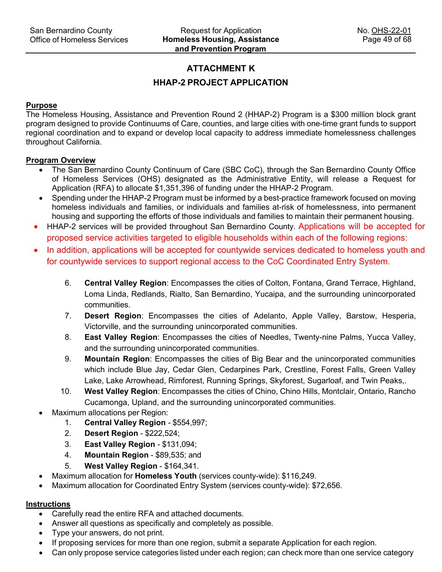# **ATTACHMENT K**

# **HHAP-2 PROJECT APPLICATION**

#### **Purpose**

The Homeless Housing, Assistance and Prevention Round 2 (HHAP-2) Program is a \$300 million block grant program designed to provide Continuums of Care, counties, and large cities with one-time grant funds to support regional coordination and to expand or develop local capacity to address immediate homelessness challenges throughout California.

#### **Program Overview**

- The San Bernardino County Continuum of Care (SBC CoC), through the San Bernardino County Office of Homeless Services (OHS) designated as the Administrative Entity, will release a Request for Application (RFA) to allocate \$1,351,396 of funding under the HHAP-2 Program.
- Spending under the HHAP-2 Program must be informed by a best-practice framework focused on moving homeless individuals and families, or individuals and families at-risk of homelessness, into permanent housing and supporting the efforts of those individuals and families to maintain their permanent housing.
- HHAP-2 services will be provided throughout San Bernardino County. Applications will be accepted for proposed service activities targeted to eligible households within each of the following regions:
- In addition, applications will be accepted for countywide services dedicated to homeless youth and for countywide services to support regional access to the CoC Coordinated Entry System.
	- 6. **Central Valley Region**: Encompasses the cities of Colton, Fontana, Grand Terrace, Highland, Loma Linda, Redlands, Rialto, San Bernardino, Yucaipa, and the surrounding unincorporated communities.
	- 7. **Desert Region**: Encompasses the cities of Adelanto, Apple Valley, Barstow, Hesperia, Victorville, and the surrounding unincorporated communities.
	- 8. **East Valley Region**: Encompasses the cities of Needles, Twenty-nine Palms, Yucca Valley, and the surrounding unincorporated communities.
	- 9. **Mountain Region**: Encompasses the cities of Big Bear and the unincorporated communities which include Blue Jay, Cedar Glen, Cedarpines Park, Crestline, Forest Falls, Green Valley Lake, Lake Arrowhead, Rimforest, Running Springs, Skyforest, Sugarloaf, and Twin Peaks,.
	- 10. **West Valley Region**: Encompasses the cities of Chino, Chino Hills, Montclair, Ontario, Rancho Cucamonga, Upland, and the surrounding unincorporated communities.
- Maximum allocations per Region:
	- 1. **Central Valley Region** \$554,997;
	- 2. **Desert Region** \$222,524;
	- 3. **East Valley Region** \$131,094;
	- 4. **Mountain Region** \$89,535; and
	- 5. **West Valley Region** \$164,341.
- Maximum allocation for **Homeless Youth** (services county-wide): \$116,249.
- Maximum allocation for Coordinated Entry System (services county-wide): \$72,656.

## **Instructions**

- Carefully read the entire RFA and attached documents.
- Answer all questions as specifically and completely as possible.
- Type your answers, do not print.
- If proposing services for more than one region, submit a separate Application for each region.
- Can only propose service categories listed under each region; can check more than one service category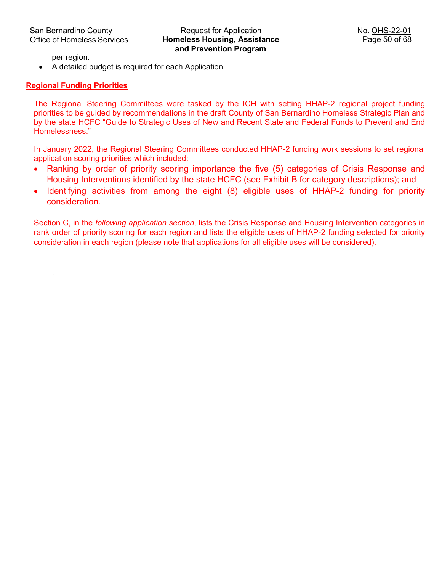per region.

.

• A detailed budget is required for each Application.

## **Regional Funding Priorities**

The Regional Steering Committees were tasked by the ICH with setting HHAP-2 regional project funding priorities to be guided by recommendations in the draft County of San Bernardino Homeless Strategic Plan and by the state HCFC "Guide to Strategic Uses of New and Recent State and Federal Funds to Prevent and End Homelessness."

In January 2022, the Regional Steering Committees conducted HHAP-2 funding work sessions to set regional application scoring priorities which included:

- Ranking by order of priority scoring importance the five (5) categories of Crisis Response and Housing Interventions identified by the state HCFC (see Exhibit B for category descriptions); and
- Identifying activities from among the eight (8) eligible uses of HHAP-2 funding for priority consideration.

Section C, in the *following application section*, lists the Crisis Response and Housing Intervention categories in rank order of priority scoring for each region and lists the eligible uses of HHAP-2 funding selected for priority consideration in each region (please note that applications for all eligible uses will be considered).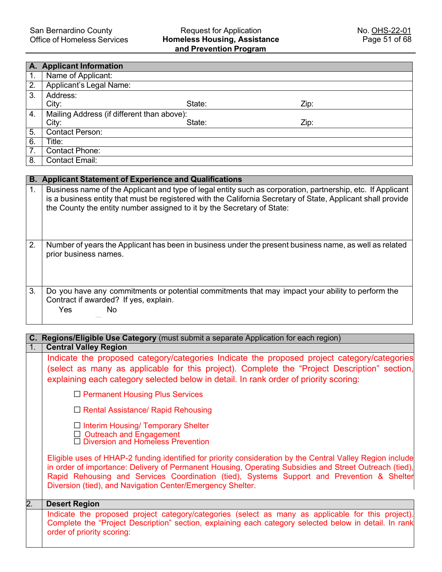#### Request for Application **Homeless Housing, Assistance and Prevention Program**

|                  | A. Applicant Information                   |        |      |
|------------------|--------------------------------------------|--------|------|
| $\overline{1}$ . | Name of Applicant:                         |        |      |
| 2.               | Applicant's Legal Name:                    |        |      |
| 3.               | Address:                                   |        |      |
|                  | City:                                      | State: | Zip: |
| $\overline{4}$ . | Mailing Address (if different than above): |        |      |
|                  | City:                                      | State: | Zip: |
| 5.               | <b>Contact Person:</b>                     |        |      |
| $\overline{6}$ . | Title:                                     |        |      |
| 7.               | Contact Phone:                             |        |      |
| 8.               | <b>Contact Email:</b>                      |        |      |

|    | <b>B. Applicant Statement of Experience and Qualifications</b>                                                                                                                                                                                                                                        |
|----|-------------------------------------------------------------------------------------------------------------------------------------------------------------------------------------------------------------------------------------------------------------------------------------------------------|
| 1. | Business name of the Applicant and type of legal entity such as corporation, partnership, etc. If Applicant<br>is a business entity that must be registered with the California Secretary of State, Applicant shall provide<br>the County the entity number assigned to it by the Secretary of State: |
| 2. | Number of years the Applicant has been in business under the present business name, as well as related<br>prior business names.                                                                                                                                                                       |
| 3. | Do you have any commitments or potential commitments that may impact your ability to perform the<br>Contract if awarded? If yes, explain.<br>Yes<br>No                                                                                                                                                |

|    | Regions/Eligible Use Category (must submit a separate Application for each region)                                                                                                                                                                                                                                                                                               |
|----|----------------------------------------------------------------------------------------------------------------------------------------------------------------------------------------------------------------------------------------------------------------------------------------------------------------------------------------------------------------------------------|
| 1. | <b>Central Valley Region</b>                                                                                                                                                                                                                                                                                                                                                     |
|    | Indicate the proposed category/categories Indicate the proposed project category/categories                                                                                                                                                                                                                                                                                      |
|    | (select as many as applicable for this project). Complete the "Project Description" section,<br>explaining each category selected below in detail. In rank order of priority scoring:                                                                                                                                                                                            |
|    | $\Box$ Permanent Housing Plus Services                                                                                                                                                                                                                                                                                                                                           |
|    | $\Box$ Rental Assistance/ Rapid Rehousing                                                                                                                                                                                                                                                                                                                                        |
|    | $\Box$ Interim Housing/ Temporary Shelter<br>□ Outreach and Engagement<br>□ Diversion and Homeless Prevention                                                                                                                                                                                                                                                                    |
|    | Eligible uses of HHAP-2 funding identified for priority consideration by the Central Valley Region include<br>in order of importance: Delivery of Permanent Housing, Operating Subsidies and Street Outreach (tied),<br>Rapid Rehousing and Services Coordination (tied), Systems Support and Prevention & Shelter<br>Diversion (tied), and Navigation Center/Emergency Shelter. |
| 2. | <b>Desert Region</b>                                                                                                                                                                                                                                                                                                                                                             |
|    | Indicate the proposed project category/categories (select as many as applicable for this project).<br>Complete the "Project Description" section, explaining each category selected below in detail. In rank<br>order of priority scoring:                                                                                                                                       |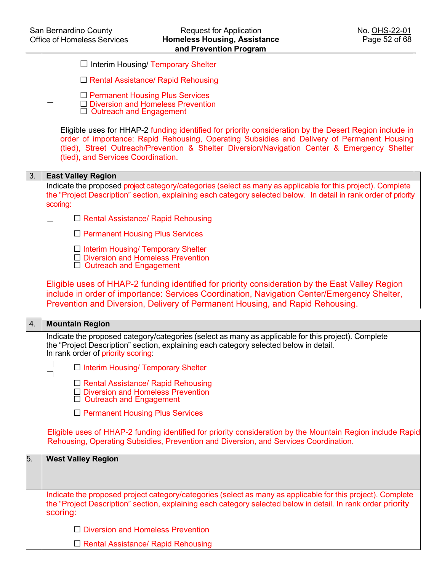|    | $\Box$ Interim Housing/ Temporary Shelter                                                                                                                                                                                                                                                                                                   |
|----|---------------------------------------------------------------------------------------------------------------------------------------------------------------------------------------------------------------------------------------------------------------------------------------------------------------------------------------------|
|    | $\Box$ Rental Assistance/ Rapid Rehousing                                                                                                                                                                                                                                                                                                   |
|    | $\Box$ Permanent Housing Plus Services<br>$\Box$ Diversion and Homeless Prevention<br>$\Box$ Outreach and Engagement                                                                                                                                                                                                                        |
|    | Eligible uses for HHAP-2 funding identified for priority consideration by the Desert Region include in<br>order of importance: Rapid Rehousing, Operating Subsidies and Delivery of Permanent Housing<br>(tied), Street Outreach/Prevention & Shelter Diversion/Navigation Center & Emergency Shelter<br>(tied), and Services Coordination. |
| 3. | <b>East Valley Region</b>                                                                                                                                                                                                                                                                                                                   |
|    | Indicate the proposed project category/categories (select as many as applicable for this project). Complete<br>the "Project Description" section, explaining each category selected below. In detail in rank order of priority<br>scoring:                                                                                                  |
|    | $\Box$ Rental Assistance/ Rapid Rehousing                                                                                                                                                                                                                                                                                                   |
|    | $\Box$ Permanent Housing Plus Services                                                                                                                                                                                                                                                                                                      |
|    | $\Box$ Interim Housing/ Temporary Shelter<br>$\Box$ Diversion and Homeless Prevention<br>$\Box$ Outreach and Engagement                                                                                                                                                                                                                     |
|    | Eligible uses of HHAP-2 funding identified for priority consideration by the East Valley Region<br>include in order of importance: Services Coordination, Navigation Center/Emergency Shelter,<br>Prevention and Diversion, Delivery of Permanent Housing, and Rapid Rehousing.                                                             |
| 4. | <b>Mountain Region</b>                                                                                                                                                                                                                                                                                                                      |
|    | Indicate the proposed category/categories (select as many as applicable for this project). Complete<br>the "Project Description" section, explaining each category selected below in detail.<br>In rank order of priority scoring:                                                                                                          |
|    | $\Box$ Interim Housing/ Temporary Shelter                                                                                                                                                                                                                                                                                                   |
|    | $\Box$ Rental Assistance/ Rapid Rehousing<br>□ Diversion and Homeless Prevention<br>$\Box$ Outreach and Engagement                                                                                                                                                                                                                          |
|    | $\Box$ Permanent Housing Plus Services                                                                                                                                                                                                                                                                                                      |
|    | Eligible uses of HHAP-2 funding identified for priority consideration by the Mountain Region include Rapid<br>Rehousing, Operating Subsidies, Prevention and Diversion, and Services Coordination.                                                                                                                                          |
| 5. | <b>West Valley Region</b>                                                                                                                                                                                                                                                                                                                   |
|    | Indicate the proposed project category/categories (select as many as applicable for this project). Complete                                                                                                                                                                                                                                 |
|    | the "Project Description" section, explaining each category selected below in detail. In rank order priority<br>scoring:                                                                                                                                                                                                                    |
|    | $\Box$ Diversion and Homeless Prevention                                                                                                                                                                                                                                                                                                    |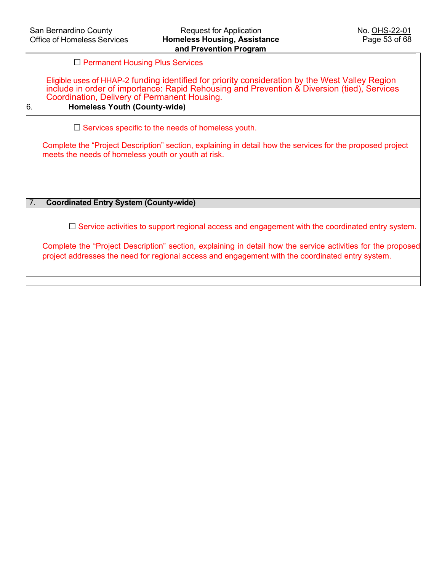|    | $\Box$ Permanent Housing Plus Services                                                                                                                                                                                                         |
|----|------------------------------------------------------------------------------------------------------------------------------------------------------------------------------------------------------------------------------------------------|
|    | Eligible uses of HHAP-2 funding identified for priority consideration by the West Valley Region<br>include in order of importance: Rapid Rehousing and Prevention & Diversion (tied), Services<br>Coordination, Delivery of Permanent Housing. |
| 6. | <b>Homeless Youth (County-wide)</b>                                                                                                                                                                                                            |
|    | $\Box$ Services specific to the needs of homeless youth.                                                                                                                                                                                       |
|    | Complete the "Project Description" section, explaining in detail how the services for the proposed project<br>meets the needs of homeless youth or youth at risk.                                                                              |
|    |                                                                                                                                                                                                                                                |
|    |                                                                                                                                                                                                                                                |
|    |                                                                                                                                                                                                                                                |
| 7. | <b>Coordinated Entry System (County-wide)</b>                                                                                                                                                                                                  |
|    | $\Box$ Service activities to support regional access and engagement with the coordinated entry system.                                                                                                                                         |
|    | Complete the "Project Description" section, explaining in detail how the service activities for the proposed<br>project addresses the need for regional access and engagement with the coordinated entry system.                               |
|    |                                                                                                                                                                                                                                                |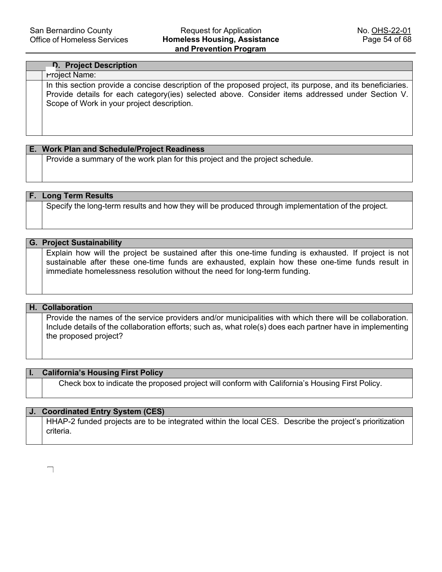# ☐ **D. Project Description** Project Name: In this section provide a concise description of the proposed project, its purpose, and its beneficiaries. Provide details for each category(ies) selected above. Consider items addressed under Section V. Scope of Work in your project description.

**E. Work Plan and Schedule/Project Readiness** Provide a summary of the work plan for this project and the project schedule.

**F. Long Term Results** Specify the long-term results and how they will be produced through implementation of the project.

**G. Project Sustainability** Explain how will the project be sustained after this one-time funding is exhausted. If project is not sustainable after these one-time funds are exhausted, explain how these one-time funds result in immediate homelessness resolution without the need for long-term funding.

# **H. Collaboration**

Provide the names of the service providers and/or municipalities with which there will be collaboration. Include details of the collaboration efforts; such as, what role(s) does each partner have in implementing the proposed project?

## **I. California's Housing First Policy**

Check box to indicate the proposed project will conform with California's Housing First Policy.

## **J. Coordinated Entry System (CES)**

HHAP-2 funded projects are to be integrated within the local CES. Describe the project's prioritization criteria.

☐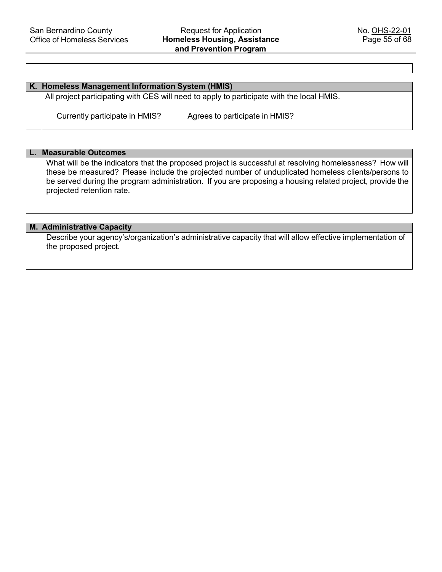#### **K. Homeless Management Information System (HMIS)**

All project participating with CES will need to apply to participate with the local HMIS.

Currently participate in HMIS?

Agrees to participate in HMIS?

**L. Measurable Outcomes**

What will be the indicators that the proposed project is successful at resolving homelessness? How will these be measured? Please include the projected number of unduplicated homeless clients/persons to be served during the program administration. If you are proposing a housing related project, provide the projected retention rate.

#### **M. Administrative Capacity**

Describe your agency's/organization's administrative capacity that will allow effective implementation of the proposed project.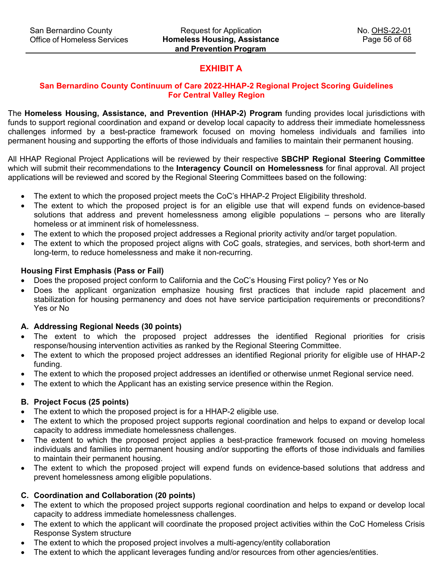# **EXHIBIT A**

# **San Bernardino County Continuum of Care 2022-HHAP-2 Regional Project Scoring Guidelines For Central Valley Region**

The **Homeless Housing, Assistance, and Prevention (HHAP-2) Program** funding provides local jurisdictions with funds to support regional coordination and expand or develop local capacity to address their immediate homelessness challenges informed by a best-practice framework focused on moving homeless individuals and families into permanent housing and supporting the efforts of those individuals and families to maintain their permanent housing.

All HHAP Regional Project Applications will be reviewed by their respective **SBCHP Regional Steering Committee** which will submit their recommendations to the **Interagency Council on Homelessness** for final approval. All project applications will be reviewed and scored by the Regional Steering Committees based on the following:

- The extent to which the proposed project meets the CoC's HHAP-2 Project Eligibility threshold.
- The extent to which the proposed project is for an eligible use that will expend funds on evidence-based solutions that address and prevent homelessness among eligible populations – persons who are literally homeless or at imminent risk of homelessness.
- The extent to which the proposed project addresses a Regional priority activity and/or target population.
- The extent to which the proposed project aligns with CoC goals, strategies, and services, both short-term and long-term, to reduce homelessness and make it non-recurring.

# **Housing First Emphasis (Pass or Fail)**

- Does the proposed project conform to California and the CoC's Housing First policy? Yes or No
- Does the applicant organization emphasize housing first practices that include rapid placement and stabilization for housing permanency and does not have service participation requirements or preconditions? Yes or No

## **A. Addressing Regional Needs (30 points)**

- The extent to which the proposed project addresses the identified Regional priorities for crisis response/housing intervention activities as ranked by the Regional Steering Committee.
- The extent to which the proposed project addresses an identified Regional priority for eligible use of HHAP-2 funding.
- The extent to which the proposed project addresses an identified or otherwise unmet Regional service need.
- The extent to which the Applicant has an existing service presence within the Region.

# **B. Project Focus (25 points)**

- The extent to which the proposed project is for a HHAP-2 eligible use.
- The extent to which the proposed project supports regional coordination and helps to expand or develop local capacity to address immediate homelessness challenges.
- The extent to which the proposed project applies a best-practice framework focused on moving homeless individuals and families into permanent housing and/or supporting the efforts of those individuals and families to maintain their permanent housing.
- The extent to which the proposed project will expend funds on evidence-based solutions that address and prevent homelessness among eligible populations.

# **C. Coordination and Collaboration (20 points)**

- The extent to which the proposed project supports regional coordination and helps to expand or develop local capacity to address immediate homelessness challenges.
- The extent to which the applicant will coordinate the proposed project activities within the CoC Homeless Crisis Response System structure
- The extent to which the proposed project involves a multi-agency/entity collaboration
- The extent to which the applicant leverages funding and/or resources from other agencies/entities.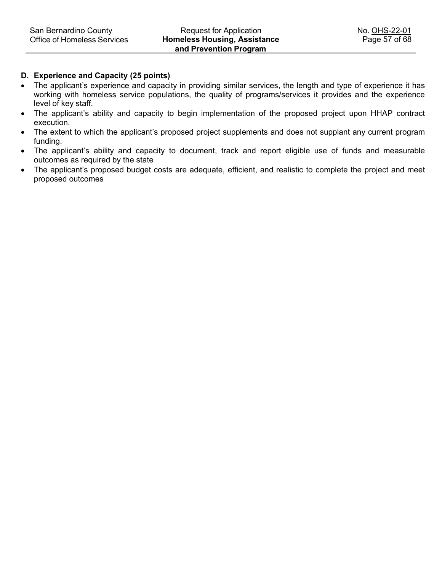## **D. Experience and Capacity (25 points)**

- The applicant's experience and capacity in providing similar services, the length and type of experience it has working with homeless service populations, the quality of programs/services it provides and the experience level of key staff.
- The applicant's ability and capacity to begin implementation of the proposed project upon HHAP contract execution.
- The extent to which the applicant's proposed project supplements and does not supplant any current program funding.
- The applicant's ability and capacity to document, track and report eligible use of funds and measurable outcomes as required by the state
- The applicant's proposed budget costs are adequate, efficient, and realistic to complete the project and meet proposed outcomes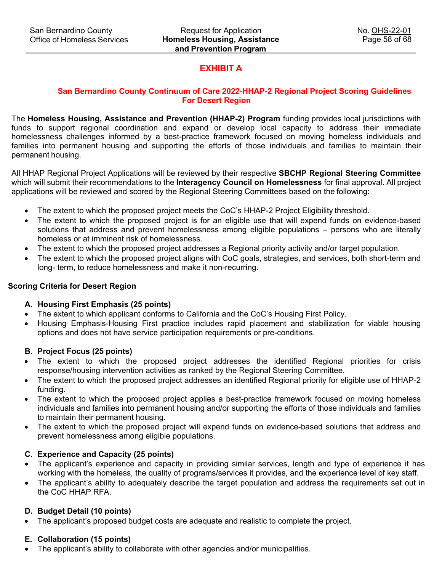# **EXHIBIT A**

# **San Bernardino County Continuum of Care 2022-HHAP-2 Regional Project Scoring Guidelines For Desert Region**

The **Homeless Housing, Assistance and Prevention (HHAP-2) Program** funding provides local jurisdictions with funds to support regional coordination and expand or develop local capacity to address their immediate homelessness challenges informed by a best-practice framework focused on moving homeless individuals and families into permanent housing and supporting the efforts of those individuals and families to maintain their permanent housing.

All HHAP Regional Project Applications will be reviewed by their respective **SBCHP Regional Steering Committee**  which will submit their recommendations to the **Interagency Council on Homelessness** for final approval. All project applications will be reviewed and scored by the Regional Steering Committees based on the following:

- The extent to which the proposed project meets the CoC's HHAP-2 Project Eligibility threshold.
- The extent to which the proposed project is for an eligible use that will expend funds on evidence-based solutions that address and prevent homelessness among eligible populations – persons who are literally homeless or at imminent risk of homelessness.
- The extent to which the proposed project addresses a Regional priority activity and/or target population.
- The extent to which the proposed project aligns with CoC goals, strategies, and services, both short-term and long- term, to reduce homelessness and make it non-recurring.

#### **Scoring Criteria for Desert Region**

#### **A. Housing First Emphasis (25 points)**

- The extent to which applicant conforms to California and the CoC's Housing First Policy.
- Housing Emphasis-Housing First practice includes rapid placement and stabilization for viable housing options and does not have service participation requirements or pre-conditions.

#### **B. Project Focus (25 points)**

- The extent to which the proposed project addresses the identified Regional priorities for crisis response/housing intervention activities as ranked by the Regional Steering Committee.
- The extent to which the proposed project addresses an identified Regional priority for eligible use of HHAP-2 funding.
- The extent to which the proposed project applies a best-practice framework focused on moving homeless individuals and families into permanent housing and/or supporting the efforts of those individuals and families to maintain their permanent housing.
- The extent to which the proposed project will expend funds on evidence-based solutions that address and prevent homelessness among eligible populations.

## **C. Experience and Capacity (25 points)**

- The applicant's experience and capacity in providing similar services, length and type of experience it has working with the homeless, the quality of programs/services it provides, and the experience level of key staff.
- The applicant's ability to adequately describe the target population and address the requirements set out in the CoC HHAP RFA.

## **D. Budget Detail (10 points)**

• The applicant's proposed budget costs are adequate and realistic to complete the project.

#### **E. Collaboration (15 points)**

• The applicant's ability to collaborate with other agencies and/or municipalities.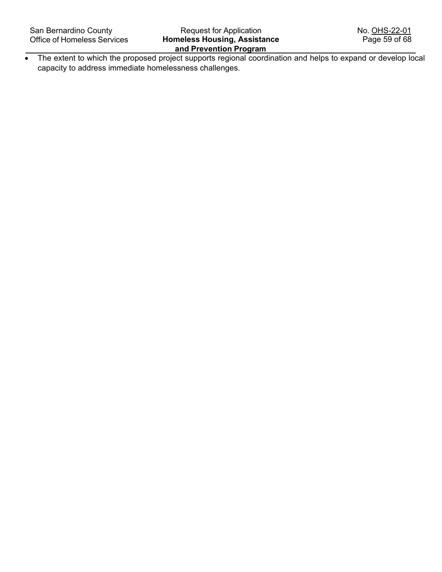• The extent to which the proposed project supports regional coordination and helps to expand or develop local capacity to address immediate homelessness challenges.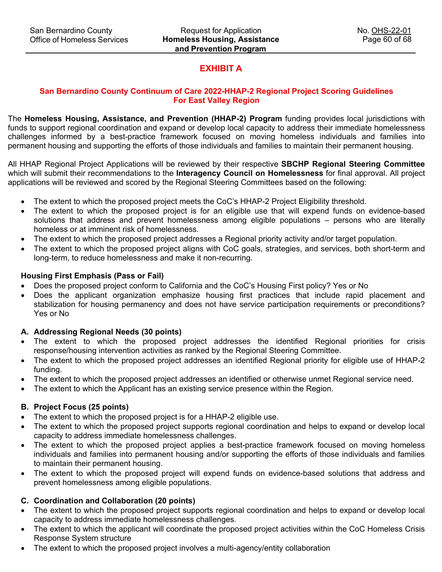# **EXHIBIT A**

# **San Bernardino County Continuum of Care 2022-HHAP-2 Regional Project Scoring Guidelines For East Valley Region**

The **Homeless Housing, Assistance, and Prevention (HHAP-2) Program** funding provides local jurisdictions with funds to support regional coordination and expand or develop local capacity to address their immediate homelessness challenges informed by a best-practice framework focused on moving homeless individuals and families into permanent housing and supporting the efforts of those individuals and families to maintain their permanent housing.

All HHAP Regional Project Applications will be reviewed by their respective **SBCHP Regional Steering Committee** which will submit their recommendations to the **Interagency Council on Homelessness** for final approval. All project applications will be reviewed and scored by the Regional Steering Committees based on the following:

- The extent to which the proposed project meets the CoC's HHAP-2 Project Eligibility threshold.
- The extent to which the proposed project is for an eligible use that will expend funds on evidence-based solutions that address and prevent homelessness among eligible populations – persons who are literally homeless or at imminent risk of homelessness.
- The extent to which the proposed project addresses a Regional priority activity and/or target population.
- The extent to which the proposed project aligns with CoC goals, strategies, and services, both short-term and long-term, to reduce homelessness and make it non-recurring.

## **Housing First Emphasis (Pass or Fail)**

- Does the proposed project conform to California and the CoC's Housing First policy? Yes or No
- Does the applicant organization emphasize housing first practices that include rapid placement and stabilization for housing permanency and does not have service participation requirements or preconditions? Yes or No

## **A. Addressing Regional Needs (30 points)**

- The extent to which the proposed project addresses the identified Regional priorities for crisis response/housing intervention activities as ranked by the Regional Steering Committee.
- The extent to which the proposed project addresses an identified Regional priority for eligible use of HHAP-2 funding.
- The extent to which the proposed project addresses an identified or otherwise unmet Regional service need.
- The extent to which the Applicant has an existing service presence within the Region.

## **B. Project Focus (25 points)**

- The extent to which the proposed project is for a HHAP-2 eligible use.
- The extent to which the proposed project supports regional coordination and helps to expand or develop local capacity to address immediate homelessness challenges.
- The extent to which the proposed project applies a best-practice framework focused on moving homeless individuals and families into permanent housing and/or supporting the efforts of those individuals and families to maintain their permanent housing.
- The extent to which the proposed project will expend funds on evidence-based solutions that address and prevent homelessness among eligible populations.

# **C. Coordination and Collaboration (20 points)**

- The extent to which the proposed project supports regional coordination and helps to expand or develop local capacity to address immediate homelessness challenges.
- The extent to which the applicant will coordinate the proposed project activities within the CoC Homeless Crisis Response System structure
- The extent to which the proposed project involves a multi-agency/entity collaboration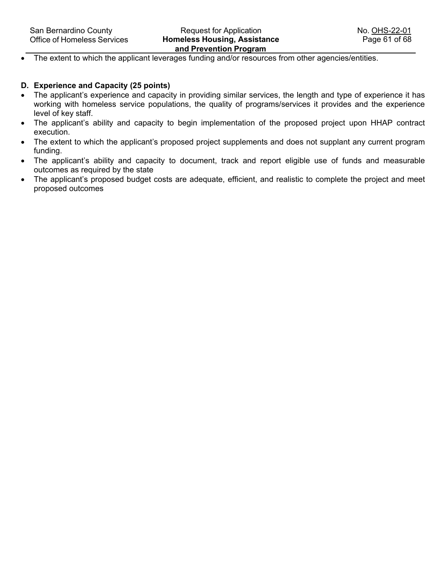• The extent to which the applicant leverages funding and/or resources from other agencies/entities.

#### **D. Experience and Capacity (25 points)**

- The applicant's experience and capacity in providing similar services, the length and type of experience it has working with homeless service populations, the quality of programs/services it provides and the experience level of key staff.
- The applicant's ability and capacity to begin implementation of the proposed project upon HHAP contract execution.
- The extent to which the applicant's proposed project supplements and does not supplant any current program funding.
- The applicant's ability and capacity to document, track and report eligible use of funds and measurable outcomes as required by the state
- The applicant's proposed budget costs are adequate, efficient, and realistic to complete the project and meet proposed outcomes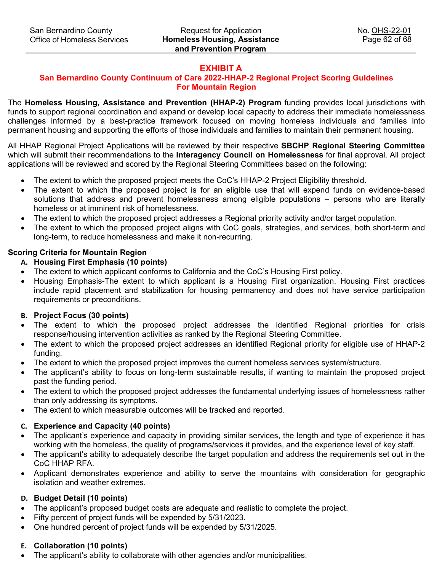# **EXHIBIT A**

# **San Bernardino County Continuum of Care 2022-HHAP-2 Regional Project Scoring Guidelines For Mountain Region**

The **Homeless Housing, Assistance and Prevention (HHAP-2) Program** funding provides local jurisdictions with funds to support regional coordination and expand or develop local capacity to address their immediate homelessness challenges informed by a best-practice framework focused on moving homeless individuals and families into permanent housing and supporting the efforts of those individuals and families to maintain their permanent housing.

All HHAP Regional Project Applications will be reviewed by their respective **SBCHP Regional Steering Committee** which will submit their recommendations to the **Interagency Council on Homelessness** for final approval. All project applications will be reviewed and scored by the Regional Steering Committees based on the following:

- The extent to which the proposed project meets the CoC's HHAP-2 Project Eligibility threshold.
- The extent to which the proposed project is for an eligible use that will expend funds on evidence-based solutions that address and prevent homelessness among eligible populations – persons who are literally homeless or at imminent risk of homelessness.
- The extent to which the proposed project addresses a Regional priority activity and/or target population.
- The extent to which the proposed project aligns with CoC goals, strategies, and services, both short-term and long-term, to reduce homelessness and make it non-recurring.

# **Scoring Criteria for Mountain Region**

# **A. Housing First Emphasis (10 points)**

- The extent to which applicant conforms to California and the CoC's Housing First policy.
- Housing Emphasis-The extent to which applicant is a Housing First organization. Housing First practices include rapid placement and stabilization for housing permanency and does not have service participation requirements or preconditions.

## **B. Project Focus (30 points)**

- The extent to which the proposed project addresses the identified Regional priorities for crisis response/housing intervention activities as ranked by the Regional Steering Committee.
- The extent to which the proposed project addresses an identified Regional priority for eligible use of HHAP-2 funding.
- The extent to which the proposed project improves the current homeless services system/structure.
- The applicant's ability to focus on long-term sustainable results, if wanting to maintain the proposed project past the funding period.
- The extent to which the proposed project addresses the fundamental underlying issues of homelessness rather than only addressing its symptoms.
- The extent to which measurable outcomes will be tracked and reported.

# **C. Experience and Capacity (40 points)**

- The applicant's experience and capacity in providing similar services, the length and type of experience it has working with the homeless, the quality of programs/services it provides, and the experience level of key staff.
- The applicant's ability to adequately describe the target population and address the requirements set out in the CoC HHAP RFA.
- Applicant demonstrates experience and ability to serve the mountains with consideration for geographic isolation and weather extremes.

# **D. Budget Detail (10 points)**

- The applicant's proposed budget costs are adequate and realistic to complete the project.
- Fifty percent of project funds will be expended by 5/31/2023.
- One hundred percent of project funds will be expended by 5/31/2025.

# **E. Collaboration (10 points)**

• The applicant's ability to collaborate with other agencies and/or municipalities.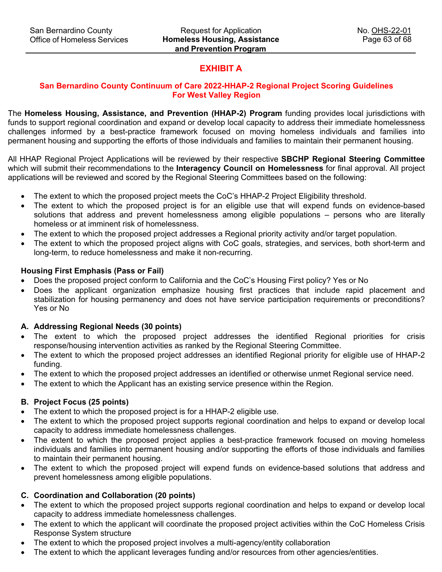# **EXHIBIT A**

# **San Bernardino County Continuum of Care 2022-HHAP-2 Regional Project Scoring Guidelines For West Valley Region**

The **Homeless Housing, Assistance, and Prevention (HHAP-2) Program** funding provides local jurisdictions with funds to support regional coordination and expand or develop local capacity to address their immediate homelessness challenges informed by a best-practice framework focused on moving homeless individuals and families into permanent housing and supporting the efforts of those individuals and families to maintain their permanent housing.

All HHAP Regional Project Applications will be reviewed by their respective **SBCHP Regional Steering Committee** which will submit their recommendations to the **Interagency Council on Homelessness** for final approval. All project applications will be reviewed and scored by the Regional Steering Committees based on the following:

- The extent to which the proposed project meets the CoC's HHAP-2 Project Eligibility threshold.
- The extent to which the proposed project is for an eligible use that will expend funds on evidence-based solutions that address and prevent homelessness among eligible populations – persons who are literally homeless or at imminent risk of homelessness.
- The extent to which the proposed project addresses a Regional priority activity and/or target population.
- The extent to which the proposed project aligns with CoC goals, strategies, and services, both short-term and long-term, to reduce homelessness and make it non-recurring.

# **Housing First Emphasis (Pass or Fail)**

- Does the proposed project conform to California and the CoC's Housing First policy? Yes or No
- Does the applicant organization emphasize housing first practices that include rapid placement and stabilization for housing permanency and does not have service participation requirements or preconditions? Yes or No

## **A. Addressing Regional Needs (30 points)**

- The extent to which the proposed project addresses the identified Regional priorities for crisis response/housing intervention activities as ranked by the Regional Steering Committee.
- The extent to which the proposed project addresses an identified Regional priority for eligible use of HHAP-2 funding.
- The extent to which the proposed project addresses an identified or otherwise unmet Regional service need.
- The extent to which the Applicant has an existing service presence within the Region.

# **B. Project Focus (25 points)**

- The extent to which the proposed project is for a HHAP-2 eligible use.
- The extent to which the proposed project supports regional coordination and helps to expand or develop local capacity to address immediate homelessness challenges.
- The extent to which the proposed project applies a best-practice framework focused on moving homeless individuals and families into permanent housing and/or supporting the efforts of those individuals and families to maintain their permanent housing.
- The extent to which the proposed project will expend funds on evidence-based solutions that address and prevent homelessness among eligible populations.

# **C. Coordination and Collaboration (20 points)**

- The extent to which the proposed project supports regional coordination and helps to expand or develop local capacity to address immediate homelessness challenges.
- The extent to which the applicant will coordinate the proposed project activities within the CoC Homeless Crisis Response System structure
- The extent to which the proposed project involves a multi-agency/entity collaboration
- The extent to which the applicant leverages funding and/or resources from other agencies/entities.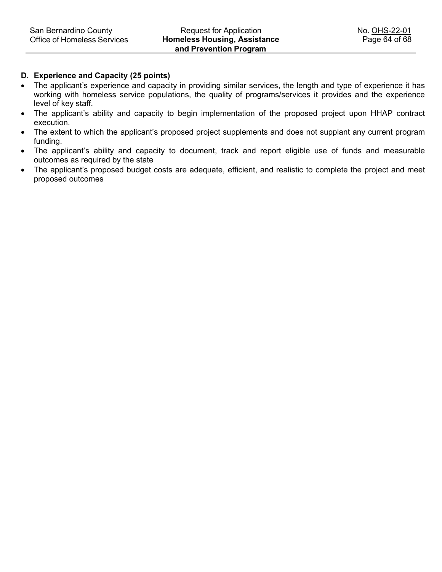## **D. Experience and Capacity (25 points)**

- The applicant's experience and capacity in providing similar services, the length and type of experience it has working with homeless service populations, the quality of programs/services it provides and the experience level of key staff.
- The applicant's ability and capacity to begin implementation of the proposed project upon HHAP contract execution.
- The extent to which the applicant's proposed project supplements and does not supplant any current program funding.
- The applicant's ability and capacity to document, track and report eligible use of funds and measurable outcomes as required by the state
- The applicant's proposed budget costs are adequate, efficient, and realistic to complete the project and meet proposed outcomes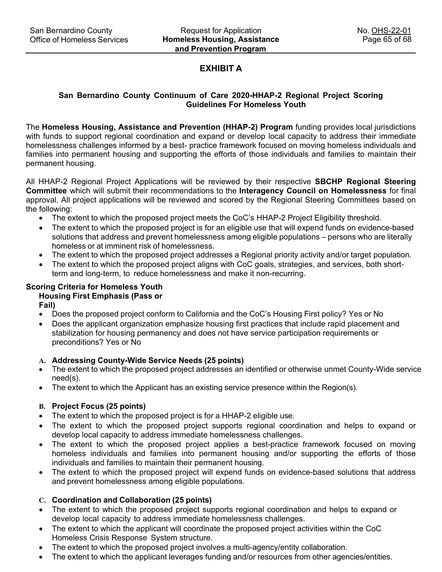# **EXHIBIT A**

## **San Bernardino County Continuum of Care 2020-HHAP-2 Regional Project Scoring Guidelines For Homeless Youth**

The **Homeless Housing, Assistance and Prevention (HHAP-2) Program** funding provides local jurisdictions with funds to support regional coordination and expand or develop local capacity to address their immediate homelessness challenges informed by a best- practice framework focused on moving homeless individuals and families into permanent housing and supporting the efforts of those individuals and families to maintain their permanent housing.

All HHAP-2 Regional Project Applications will be reviewed by their respective **SBCHP Regional Steering Committee** which will submit their recommendations to the **Interagency Council on Homelessness** for final approval. All project applications will be reviewed and scored by the Regional Steering Committees based on the following:

- The extent to which the proposed project meets the CoC's HHAP-2 Project Eligibility threshold.
- The extent to which the proposed project is for an eligible use that will expend funds on evidence-based solutions that address and prevent homelessness among eligible populations – persons who are literally homeless or at imminent risk of homelessness.
- The extent to which the proposed project addresses a Regional priority activity and/or target population.
- The extent to which the proposed project aligns with CoC goals, strategies, and services, both shortterm and long-term, to reduce homelessness and make it non-recurring.

# **Scoring Criteria for Homeless Youth**

# **Housing First Emphasis (Pass or**

**Fail)**

- Does the proposed project conform to California and the CoC's Housing First policy? Yes or No
- Does the applicant organization emphasize housing first practices that include rapid placement and stabilization for housing permanency and does not have service participation requirements or preconditions? Yes or No

## **A. Addressing County-Wide Service Needs (25 points)**

- The extent to which the proposed project addresses an identified or otherwise unmet County-Wide service need(s).
- The extent to which the Applicant has an existing service presence within the Region(s).

## **B. Project Focus (25 points)**

- The extent to which the proposed project is for a HHAP-2 eligible use.
- The extent to which the proposed project supports regional coordination and helps to expand or develop local capacity to address immediate homelessness challenges.
- The extent to which the proposed project applies a best-practice framework focused on moving homeless individuals and families into permanent housing and/or supporting the efforts of those individuals and families to maintain their permanent housing.
- The extent to which the proposed project will expend funds on evidence-based solutions that address and prevent homelessness among eligible populations.

# **C. Coordination and Collaboration (25 points)**

- The extent to which the proposed project supports regional coordination and helps to expand or develop local capacity to address immediate homelessness challenges.
- The extent to which the applicant will coordinate the proposed project activities within the CoC Homeless Crisis Response System structure.
- The extent to which the proposed project involves a multi-agency/entity collaboration.
- The extent to which the applicant leverages funding and/or resources from other agencies/entities.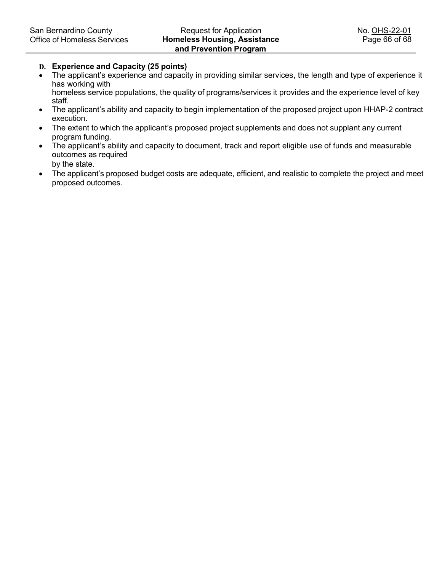#### **D. Experience and Capacity (25 points)**

- The applicant's experience and capacity in providing similar services, the length and type of experience it has working with homeless service populations, the quality of programs/services it provides and the experience level of key staff.
- The applicant's ability and capacity to begin implementation of the proposed project upon HHAP-2 contract execution.
- The extent to which the applicant's proposed project supplements and does not supplant any current program funding.
- The applicant's ability and capacity to document, track and report eligible use of funds and measurable outcomes as required by the state.
- The applicant's proposed budget costs are adequate, efficient, and realistic to complete the project and meet proposed outcomes.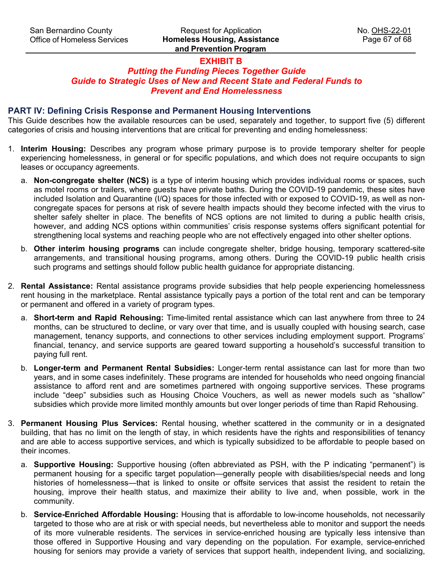# **EXHIBIT B**

# *Putting the Funding Pieces Together Guide Guide to Strategic Uses of New and Recent State and Federal Funds to Prevent and End Homelessness*

## **PART IV: Defining Crisis Response and Permanent Housing Interventions**

This Guide describes how the available resources can be used, separately and together, to support five (5) different categories of crisis and housing interventions that are critical for preventing and ending homelessness:

- 1. **Interim Housing:** Describes any program whose primary purpose is to provide temporary shelter for people experiencing homelessness, in general or for specific populations, and which does not require occupants to sign leases or occupancy agreements.
	- a. **Non-congregate shelter (NCS)** is a type of interim housing which provides individual rooms or spaces, such as motel rooms or trailers, where guests have private baths. During the COVID-19 pandemic, these sites have included Isolation and Quarantine (I/Q) spaces for those infected with or exposed to COVID-19, as well as noncongregate spaces for persons at risk of severe health impacts should they become infected with the virus to shelter safely shelter in place. The benefits of NCS options are not limited to during a public health crisis, however, and adding NCS options within communities' crisis response systems offers significant potential for strengthening local systems and reaching people who are not effectively engaged into other shelter options.
	- b. **Other interim housing programs** can include congregate shelter, bridge housing, temporary scattered-site arrangements, and transitional housing programs, among others. During the COVID-19 public health crisis such programs and settings should follow public health guidance for appropriate distancing.
- 2. **Rental Assistance:** Rental assistance programs provide subsidies that help people experiencing homelessness rent housing in the marketplace. Rental assistance typically pays a portion of the total rent and can be temporary or permanent and offered in a variety of program types.
	- a. **Short-term and Rapid Rehousing:** Time-limited rental assistance which can last anywhere from three to 24 months, can be structured to decline, or vary over that time, and is usually coupled with housing search, case management, tenancy supports, and connections to other services including employment support. Programs' financial, tenancy, and service supports are geared toward supporting a household's successful transition to paying full rent.
	- b. **Longer-term and Permanent Rental Subsidies:** Longer-term rental assistance can last for more than two years, and in some cases indefinitely. These programs are intended for households who need ongoing financial assistance to afford rent and are sometimes partnered with ongoing supportive services. These programs include "deep" subsidies such as Housing Choice Vouchers, as well as newer models such as "shallow" subsidies which provide more limited monthly amounts but over longer periods of time than Rapid Rehousing.
- 3. **Permanent Housing Plus Services:** Rental housing, whether scattered in the community or in a designated building, that has no limit on the length of stay, in which residents have the rights and responsibilities of tenancy and are able to access supportive services, and which is typically subsidized to be affordable to people based on their incomes.
	- a. **Supportive Housing:** Supportive housing (often abbreviated as PSH, with the P indicating "permanent") is permanent housing for a specific target population—generally people with disabilities/special needs and long histories of homelessness—that is linked to onsite or offsite services that assist the resident to retain the housing, improve their health status, and maximize their ability to live and, when possible, work in the community.
	- b. **Service-Enriched Affordable Housing:** Housing that is affordable to low-income households, not necessarily targeted to those who are at risk or with special needs, but nevertheless able to monitor and support the needs of its more vulnerable residents. The services in service-enriched housing are typically less intensive than those offered in Supportive Housing and vary depending on the population. For example, service-enriched housing for seniors may provide a variety of services that support health, independent living, and socializing,